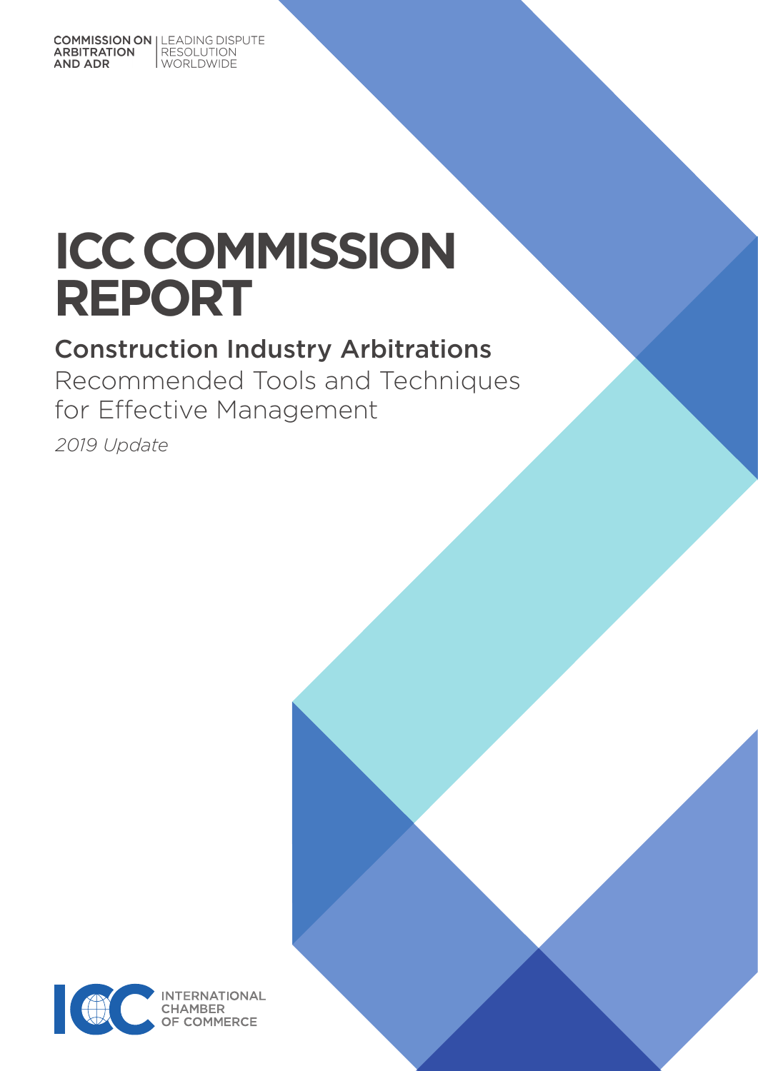**COMMISSION ON | LEADING DISPUTE** RESOLUTION<br>WORLDWIDE ARBITRATION **AND ADR** 

# **ICC COMMISSION REPORT**

## Construction Industry Arbitrations

Recommended Tools and Techniques for Effective Management

*2019 Update*

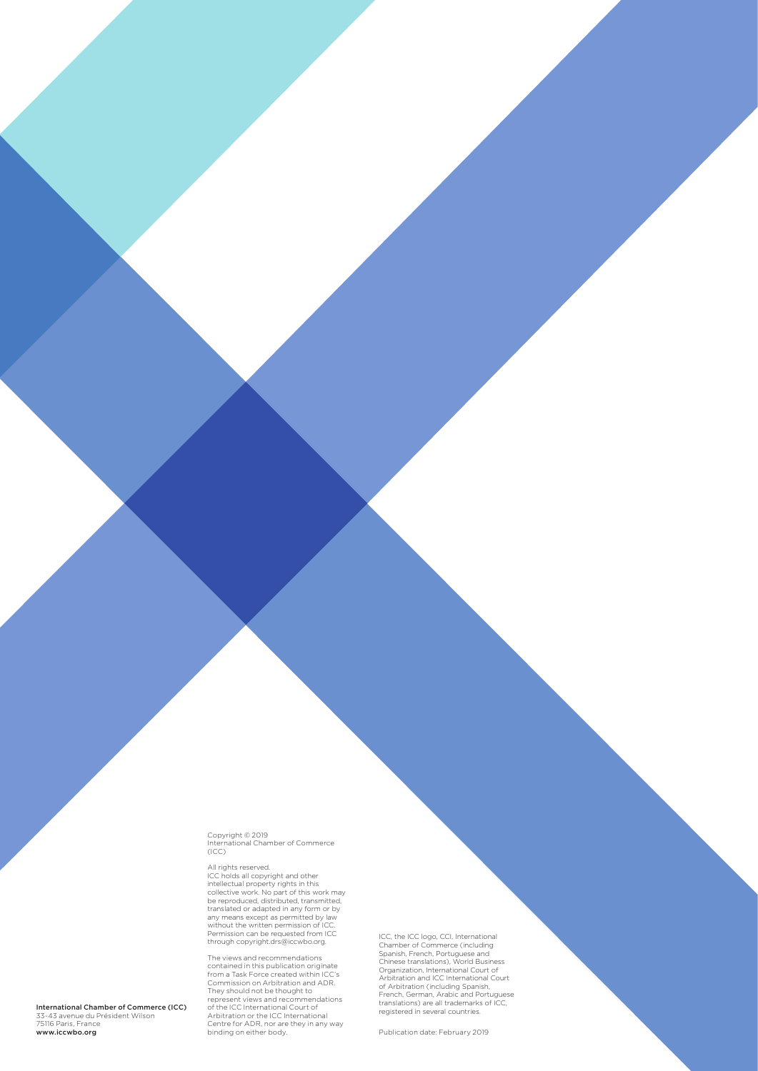Copyright © 2019 International Chamber of Commerce (ICC)

All rights reserved.<br>ICC holds all copyright and other<br>intellectual property rights in this<br>collective work. No part of this work may<br>be reproduced, distributed, transmitted, translated or adapted in any form or by any means except as permitted by law without the written permission of ICC. Permission can be requested from ICC through copyright.drs@iccwbo.org.

The views and recommendations contained in this publication originate from a Task Force created within ICC's Commission on Arbitration and ADR. They should not be thought to<br>represent views and recommendations<br>of the ICC International Court of<br>Arbitration or the ICC International<br>Centre for ADR, nor are they in any way<br>binding on either body. ICC, the ICC logo, CCI, International<br>Chamber of Commerce (including<br>Spanish, French, Portuguese and<br>Chinese translations), World Business<br>Organization, International Court of<br>Arbitration and ICC International Court<br>of Arb

Publication date: February 2019

International Chamber of Commerce (ICC) 33-43 avenue du Président Wilson<br>75116 Paris, France<br>**www.iccwbo.org**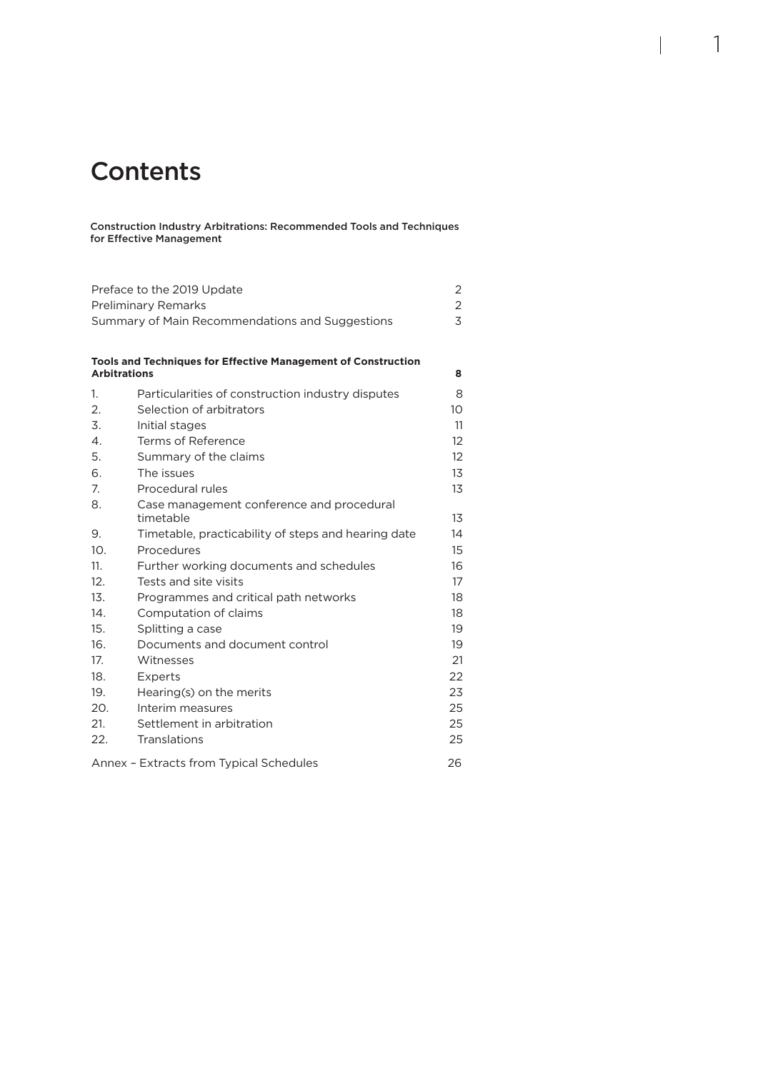### **Contents**

Construction Industry Arbitrations: Recommended Tools and Techniques for Effective Management

1

| Preface to the 2019 Update<br>2<br>2            |                                                               |                   |  |  |  |
|-------------------------------------------------|---------------------------------------------------------------|-------------------|--|--|--|
| <b>Preliminary Remarks</b><br>$\overline{3}$    |                                                               |                   |  |  |  |
| Summary of Main Recommendations and Suggestions |                                                               |                   |  |  |  |
|                                                 |                                                               |                   |  |  |  |
| <b>Arbitrations</b>                             | Tools and Techniques for Effective Management of Construction | 8                 |  |  |  |
| 1.                                              | Particularities of construction industry disputes             | 8                 |  |  |  |
| 2.                                              | Selection of arbitrators                                      | 10                |  |  |  |
| 3.                                              | Initial stages                                                | 11                |  |  |  |
| $\mathcal{A}_{\cdot}$                           | Terms of Reference                                            | 12                |  |  |  |
| 5.                                              | Summary of the claims                                         | $12 \overline{ }$ |  |  |  |
| 6.                                              | The issues                                                    | 13                |  |  |  |
| 7.                                              | Procedural rules                                              | 13                |  |  |  |
| 8.                                              | Case management conference and procedural<br>timetable        | 13                |  |  |  |
| 9.                                              | Timetable, practicability of steps and hearing date           | 14                |  |  |  |
| 10 <sub>1</sub>                                 | Procedures                                                    | 15                |  |  |  |
| 11.                                             | Further working documents and schedules                       | 16                |  |  |  |
| 12.                                             | Tests and site visits                                         | 17                |  |  |  |
| 13.                                             | Programmes and critical path networks                         | 18                |  |  |  |
| 14.                                             | Computation of claims                                         | 18                |  |  |  |
| 15.                                             | Splitting a case                                              | 19                |  |  |  |
| 16.                                             | Documents and document control                                | 19                |  |  |  |
| 17.                                             | Witnesses                                                     | 21                |  |  |  |
| 18.                                             | Experts                                                       | 22                |  |  |  |
| 19.                                             | Hearing(s) on the merits                                      | 23                |  |  |  |
| 20.                                             | Interim measures                                              | 25                |  |  |  |
| 21.                                             | Settlement in arbitration                                     | 25                |  |  |  |
| 22.                                             | Translations                                                  | 25                |  |  |  |
|                                                 | Annex - Extracts from Typical Schedules                       | 26                |  |  |  |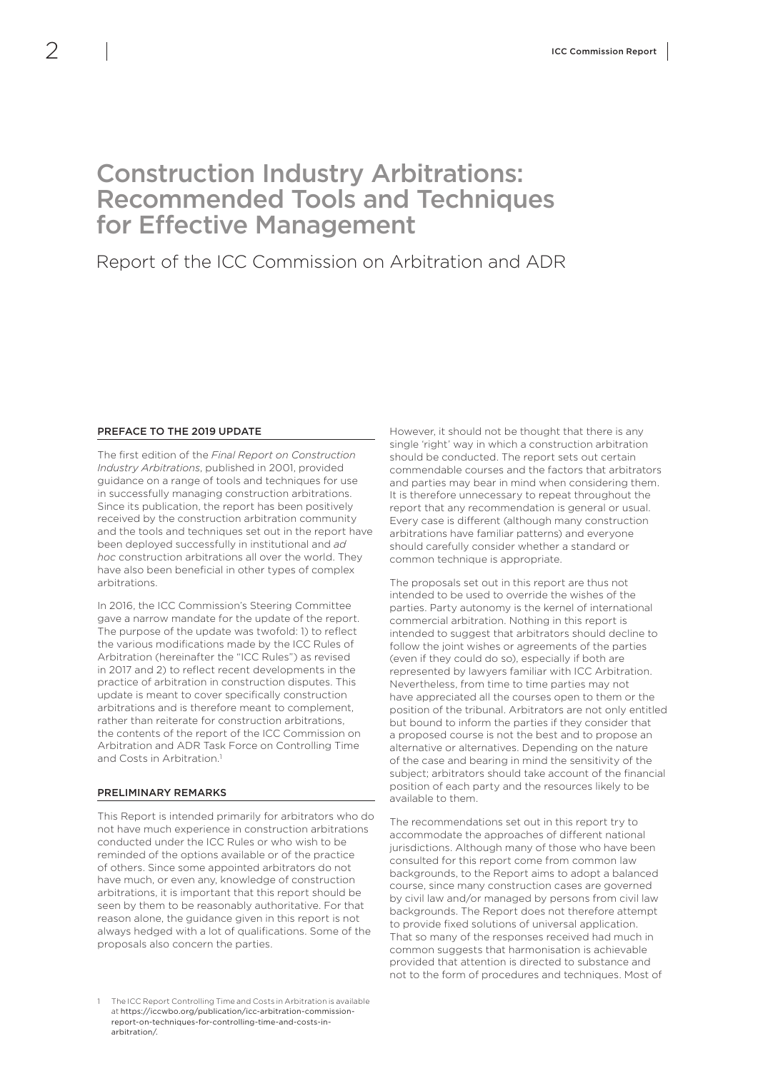### <span id="page-3-0"></span>Construction Industry Arbitrations: Recommended Tools and Techniques for Effective Management

### Report of the ICC Commission on Arbitration and ADR

#### PREFACE TO THE 2019 UPDATE

The first edition of the *Final Report on Construction Industry Arbitrations*, published in 2001, provided guidance on a range of tools and techniques for use in successfully managing construction arbitrations. Since its publication, the report has been positively received by the construction arbitration community and the tools and techniques set out in the report have been deployed successfully in institutional and *ad hoc* construction arbitrations all over the world. They have also been beneficial in other types of complex arbitrations.

In 2016, the ICC Commission's Steering Committee gave a narrow mandate for the update of the report. The purpose of the update was twofold: 1) to reflect the various modifications made by the ICC Rules of Arbitration (hereinafter the "ICC Rules") as revised in 2017 and 2) to reflect recent developments in the practice of arbitration in construction disputes. This update is meant to cover specifically construction arbitrations and is therefore meant to complement rather than reiterate for construction arbitrations, the contents of the report of the ICC Commission on Arbitration and ADR Task Force on Controlling Time and Costs in Arbitration<sup>1</sup>

#### PRELIMINARY REMARKS

This Report is intended primarily for arbitrators who do not have much experience in construction arbitrations conducted under the ICC Rules or who wish to be reminded of the options available or of the practice of others. Since some appointed arbitrators do not have much, or even any, knowledge of construction arbitrations, it is important that this report should be seen by them to be reasonably authoritative. For that reason alone, the guidance given in this report is not always hedged with a lot of qualifications. Some of the proposals also concern the parties.

However, it should not be thought that there is any single 'right' way in which a construction arbitration should be conducted. The report sets out certain commendable courses and the factors that arbitrators and parties may bear in mind when considering them. It is therefore unnecessary to repeat throughout the report that any recommendation is general or usual. Every case is different (although many construction arbitrations have familiar patterns) and everyone should carefully consider whether a standard or common technique is appropriate.

The proposals set out in this report are thus not intended to be used to override the wishes of the parties. Party autonomy is the kernel of international commercial arbitration. Nothing in this report is intended to suggest that arbitrators should decline to follow the joint wishes or agreements of the parties (even if they could do so), especially if both are represented by lawyers familiar with ICC Arbitration. Nevertheless, from time to time parties may not have appreciated all the courses open to them or the position of the tribunal. Arbitrators are not only entitled but bound to inform the parties if they consider that a proposed course is not the best and to propose an alternative or alternatives. Depending on the nature of the case and bearing in mind the sensitivity of the subject; arbitrators should take account of the financial position of each party and the resources likely to be available to them.

The recommendations set out in this report try to accommodate the approaches of different national jurisdictions. Although many of those who have been consulted for this report come from common law backgrounds, to the Report aims to adopt a balanced course, since many construction cases are governed by civil law and/or managed by persons from civil law backgrounds. The Report does not therefore attempt to provide fixed solutions of universal application. That so many of the responses received had much in common suggests that harmonisation is achievable provided that attention is directed to substance and not to the form of procedures and techniques. Most of

<sup>1</sup> The ICC Report Controlling Time and Costs in Arbitration is available at [https://iccwbo.org/publication/icc-arbitration-commission](https://iccwbo.org/publication/icc-arbitration-commission-report-on-techniques-for-controlling-time-and-costs-in-arbitration/)[report-on-techniques-for-controlling-time-and-costs-in](https://iccwbo.org/publication/icc-arbitration-commission-report-on-techniques-for-controlling-time-and-costs-in-arbitration/)[arbitration/](https://iccwbo.org/publication/icc-arbitration-commission-report-on-techniques-for-controlling-time-and-costs-in-arbitration/).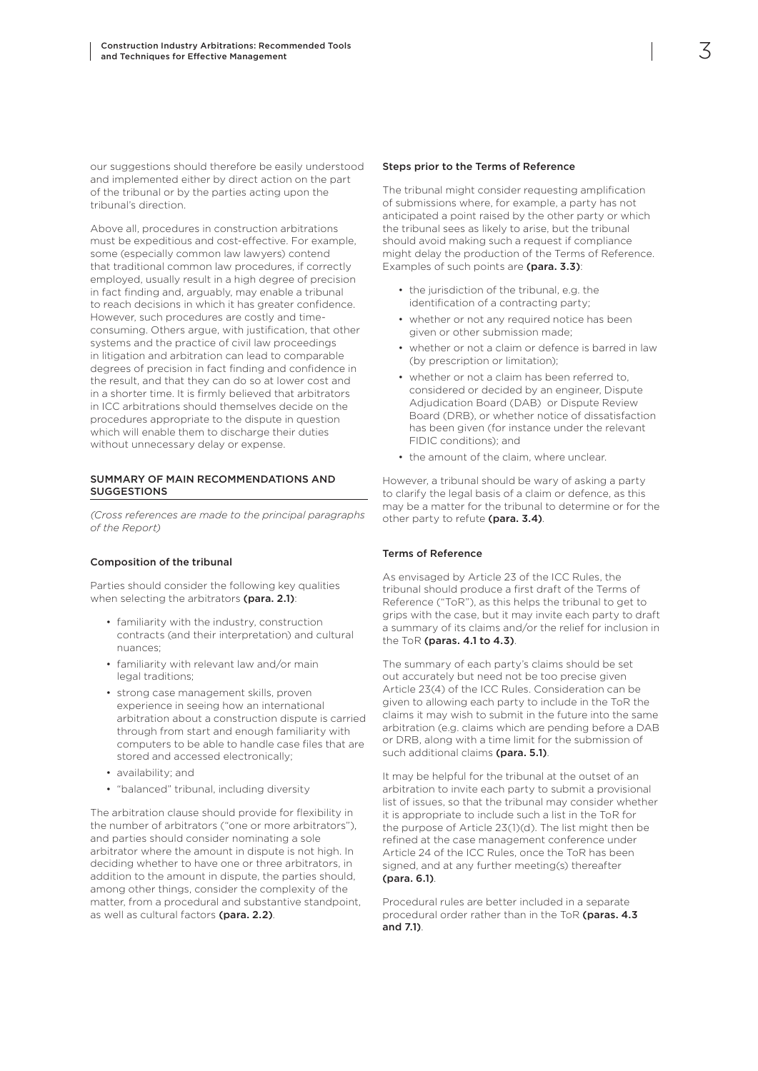<span id="page-4-0"></span>our suggestions should therefore be easily understood and implemented either by direct action on the part of the tribunal or by the parties acting upon the tribunal's direction.

Above all, procedures in construction arbitrations must be expeditious and cost-effective. For example, some (especially common law lawyers) contend that traditional common law procedures, if correctly employed, usually result in a high degree of precision in fact finding and, arguably, may enable a tribunal to reach decisions in which it has greater confidence. However, such procedures are costly and timeconsuming. Others argue, with justification, that other systems and the practice of civil law proceedings in litigation and arbitration can lead to comparable degrees of precision in fact finding and confidence in the result, and that they can do so at lower cost and in a shorter time. It is firmly believed that arbitrators in ICC arbitrations should themselves decide on the procedures appropriate to the dispute in question which will enable them to discharge their duties without unnecessary delay or expense.

#### SUMMARY OF MAIN RECOMMENDATIONS AND SUGGESTIONS

*(Cross references are made to the principal paragraphs of the Report)*

#### Composition of the tribunal

Parties should consider the following key qualities when selecting the arbitrators (para. 2.1):

- familiarity with the industry, construction contracts (and their interpretation) and cultural nuances;
- familiarity with relevant law and/or main legal traditions;
- strong case management skills, proven experience in seeing how an international arbitration about a construction dispute is carried through from start and enough familiarity with computers to be able to handle case files that are stored and accessed electronically;
- availability; and
- "balanced" tribunal, including diversity

The arbitration clause should provide for flexibility in the number of arbitrators ("one or more arbitrators"), and parties should consider nominating a sole arbitrator where the amount in dispute is not high. In deciding whether to have one or three arbitrators, in addition to the amount in dispute, the parties should, among other things, consider the complexity of the matter, from a procedural and substantive standpoint, as well as cultural factors (para. 2.2).

#### Steps prior to the Terms of Reference

The tribunal might consider requesting amplification of submissions where, for example, a party has not anticipated a point raised by the other party or which the tribunal sees as likely to arise, but the tribunal should avoid making such a request if compliance might delay the production of the Terms of Reference. Examples of such points are (para. 3.3):

- the jurisdiction of the tribunal, e.g. the identification of a contracting party;
- whether or not any required notice has been given or other submission made;
- whether or not a claim or defence is barred in law (by prescription or limitation);
- whether or not a claim has been referred to, considered or decided by an engineer, Dispute Adjudication Board (DAB) or Dispute Review Board (DRB), or whether notice of dissatisfaction has been given (for instance under the relevant FIDIC conditions); and
- the amount of the claim, where unclear.

However, a tribunal should be wary of asking a party to clarify the legal basis of a claim or defence, as this may be a matter for the tribunal to determine or for the other party to refute (para. 3.4).

#### Terms of Reference

As envisaged by Article 23 of the ICC Rules, the tribunal should produce a first draft of the Terms of Reference ("ToR"), as this helps the tribunal to get to grips with the case, but it may invite each party to draft a summary of its claims and/or the relief for inclusion in the ToR (paras. 4.1 to 4.3).

The summary of each party's claims should be set out accurately but need not be too precise given Article 23(4) of the ICC Rules. Consideration can be given to allowing each party to include in the ToR the claims it may wish to submit in the future into the same arbitration (e.g. claims which are pending before a DAB or DRB, along with a time limit for the submission of such additional claims (para. 5.1).

It may be helpful for the tribunal at the outset of an arbitration to invite each party to submit a provisional list of issues, so that the tribunal may consider whether it is appropriate to include such a list in the ToR for the purpose of Article 23(1)(d). The list might then be refined at the case management conference under Article 24 of the ICC Rules, once the ToR has been signed, and at any further meeting(s) thereafter (para. 6.1).

Procedural rules are better included in a separate procedural order rather than in the ToR (paras. 4.3 and 7.1).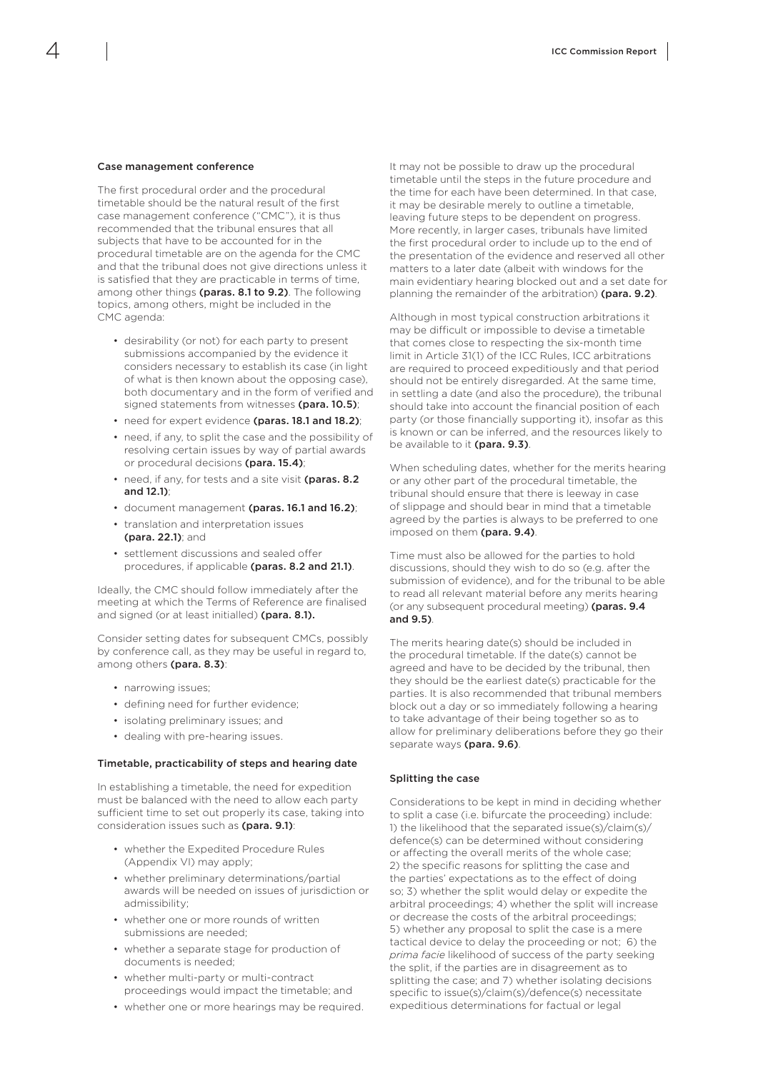#### Case management conference

The first procedural order and the procedural timetable should be the natural result of the first case management conference ("CMC"), it is thus recommended that the tribunal ensures that all subjects that have to be accounted for in the procedural timetable are on the agenda for the CMC and that the tribunal does not give directions unless it is satisfied that they are practicable in terms of time, among other things (paras. 8.1 to 9.2). The following topics, among others, might be included in the CMC agenda:

- desirability (or not) for each party to present submissions accompanied by the evidence it considers necessary to establish its case (in light of what is then known about the opposing case), both documentary and in the form of verified and signed statements from witnesses (para. 10.5);
- need for expert evidence (paras. 18.1 and 18.2);
- need, if any, to split the case and the possibility of resolving certain issues by way of partial awards or procedural decisions (para. 15.4);
- need, if any, for tests and a site visit (paras. 8.2 and 12.1);
- document management (paras. 16.1 and 16.2);
- translation and interpretation issues (para. 22.1); and
- settlement discussions and sealed offer procedures, if applicable (paras. 8.2 and 21.1).

Ideally, the CMC should follow immediately after the meeting at which the Terms of Reference are finalised and signed (or at least initialled) (para. 8.1).

Consider setting dates for subsequent CMCs, possibly by conference call, as they may be useful in regard to, among others (para. 8.3):

- narrowing issues;
- defining need for further evidence;
- isolating preliminary issues; and
- dealing with pre-hearing issues.

#### Timetable, practicability of steps and hearing date

In establishing a timetable, the need for expedition must be balanced with the need to allow each party sufficient time to set out properly its case, taking into consideration issues such as (para. 9.1):

- whether the Expedited Procedure Rules (Appendix VI) may apply;
- whether preliminary determinations/partial awards will be needed on issues of jurisdiction or admissibility;
- whether one or more rounds of written submissions are needed;
- whether a separate stage for production of documents is needed;
- whether multi-party or multi-contract proceedings would impact the timetable; and
- whether one or more hearings may be required.

It may not be possible to draw up the procedural timetable until the steps in the future procedure and the time for each have been determined. In that case, it may be desirable merely to outline a timetable, leaving future steps to be dependent on progress. More recently, in larger cases, tribunals have limited the first procedural order to include up to the end of the presentation of the evidence and reserved all other matters to a later date (albeit with windows for the main evidentiary hearing blocked out and a set date for planning the remainder of the arbitration) (para. 9.2).

Although in most typical construction arbitrations it may be difficult or impossible to devise a timetable that comes close to respecting the six-month time limit in Article 31(1) of the ICC Rules, ICC arbitrations are required to proceed expeditiously and that period should not be entirely disregarded. At the same time, in settling a date (and also the procedure), the tribunal should take into account the financial position of each party (or those financially supporting it), insofar as this is known or can be inferred, and the resources likely to be available to it (para. 9.3).

When scheduling dates, whether for the merits hearing or any other part of the procedural timetable, the tribunal should ensure that there is leeway in case of slippage and should bear in mind that a timetable agreed by the parties is always to be preferred to one imposed on them (para. 9.4).

Time must also be allowed for the parties to hold discussions, should they wish to do so (e.g. after the submission of evidence), and for the tribunal to be able to read all relevant material before any merits hearing (or any subsequent procedural meeting) (paras. 9.4 and 9.5).

The merits hearing date(s) should be included in the procedural timetable. If the date(s) cannot be agreed and have to be decided by the tribunal, then they should be the earliest date(s) practicable for the parties. It is also recommended that tribunal members block out a day or so immediately following a hearing to take advantage of their being together so as to allow for preliminary deliberations before they go their separate ways (para. 9.6).

#### Splitting the case

Considerations to be kept in mind in deciding whether to split a case (i.e. bifurcate the proceeding) include: 1) the likelihood that the separated issue(s)/claim(s)/ defence(s) can be determined without considering or affecting the overall merits of the whole case; 2) the specific reasons for splitting the case and the parties' expectations as to the effect of doing so; 3) whether the split would delay or expedite the arbitral proceedings; 4) whether the split will increase or decrease the costs of the arbitral proceedings; 5) whether any proposal to split the case is a mere tactical device to delay the proceeding or not; 6) the *prima facie* likelihood of success of the party seeking the split, if the parties are in disagreement as to splitting the case; and 7) whether isolating decisions specific to issue(s)/claim(s)/defence(s) necessitate expeditious determinations for factual or legal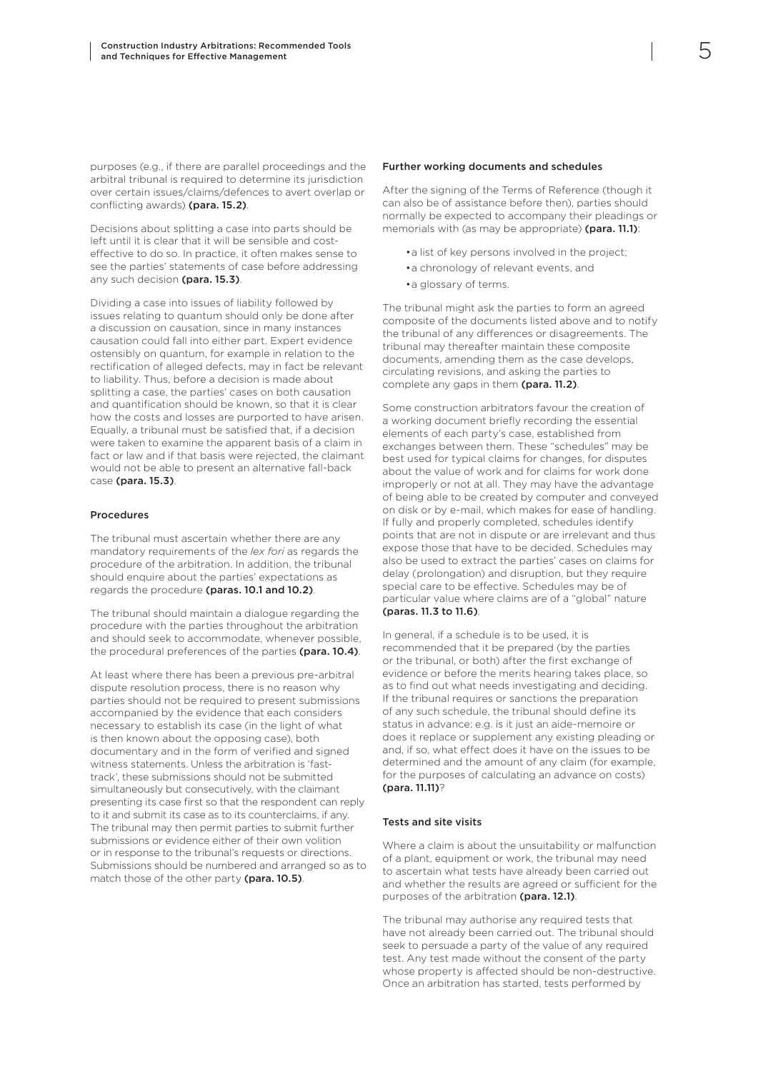purposes (e.g., if there are parallel proceedings and the arbitral tribunal is required to determine its jurisdiction over certain issues/claims/defences to avert overlap or conflicting awards) (para. 15.2).

Decisions about splitting a case into parts should be left until it is clear that it will be sensible and costeffective to do so. In practice, it often makes sense to see the parties' statements of case before addressing any such decision (para. 15.3).

Dividing a case into issues of liability followed by issues relating to quantum should only be done after a discussion on causation, since in many instances causation could fall into either part. Expert evidence ostensibly on quantum, for example in relation to the rectification of alleged defects, may in fact be relevant to liability. Thus, before a decision is made about splitting a case, the parties' cases on both causation and quantification should be known, so that it is clear how the costs and losses are purported to have arisen. Equally, a tribunal must be satisfied that, if a decision were taken to examine the apparent basis of a claim in fact or law and if that basis were rejected, the claimant would not be able to present an alternative fall-back case (para. 15.3).

#### Procedures

The tribunal must ascertain whether there are any mandatory requirements of the *lex fori* as regards the procedure of the arbitration. In addition, the tribunal should enquire about the parties' expectations as regards the procedure (paras. 10.1 and 10.2).

The tribunal should maintain a dialogue regarding the procedure with the parties throughout the arbitration and should seek to accommodate, whenever possible, the procedural preferences of the parties (para. 10.4).

At least where there has been a previous pre-arbitral dispute resolution process, there is no reason why parties should not be required to present submissions accompanied by the evidence that each considers necessary to establish its case (in the light of what is then known about the opposing case), both documentary and in the form of verified and signed witness statements. Unless the arbitration is 'fasttrack', these submissions should not be submitted simultaneously but consecutively, with the claimant presenting its case first so that the respondent can reply to it and submit its case as to its counterclaims, if any. The tribunal may then permit parties to submit further submissions or evidence either of their own volition or in response to the tribunal's requests or directions. Submissions should be numbered and arranged so as to match those of the other party (para. 10.5).

#### Further working documents and schedules

After the signing of the Terms of Reference (though it can also be of assistance before then), parties should normally be expected to accompany their pleadings or memorials with (as may be appropriate) (para. 11.1):

- •a list of key persons involved in the project;
- •a chronology of relevant events, and
- •a glossary of terms.

The tribunal might ask the parties to form an agreed composite of the documents listed above and to notify the tribunal of any differences or disagreements. The tribunal may thereafter maintain these composite documents, amending them as the case develops, circulating revisions, and asking the parties to complete any gaps in them (para. 11.2).

Some construction arbitrators favour the creation of a working document briefly recording the essential elements of each party's case, established from exchanges between them. These "schedules" may be best used for typical claims for changes, for disputes about the value of work and for claims for work done improperly or not at all. They may have the advantage of being able to be created by computer and conveyed on disk or by e-mail, which makes for ease of handling. If fully and properly completed, schedules identify points that are not in dispute or are irrelevant and thus expose those that have to be decided. Schedules may also be used to extract the parties' cases on claims for delay (prolongation) and disruption, but they require special care to be effective. Schedules may be of particular value where claims are of a "global" nature (paras. 11.3 to 11.6).

In general, if a schedule is to be used, it is recommended that it be prepared (by the parties or the tribunal, or both) after the first exchange of evidence or before the merits hearing takes place, so as to find out what needs investigating and deciding. If the tribunal requires or sanctions the preparation of any such schedule, the tribunal should define its status in advance: e.g. is it just an aide-memoire or does it replace or supplement any existing pleading or and, if so, what effect does it have on the issues to be determined and the amount of any claim (for example, for the purposes of calculating an advance on costs) (para. 11.11)?

#### Tests and site visits

Where a claim is about the unsuitability or malfunction of a plant, equipment or work, the tribunal may need to ascertain what tests have already been carried out and whether the results are agreed or sufficient for the purposes of the arbitration (para. 12.1).

The tribunal may authorise any required tests that have not already been carried out. The tribunal should seek to persuade a party of the value of any required test. Any test made without the consent of the party whose property is affected should be non-destructive. Once an arbitration has started, tests performed by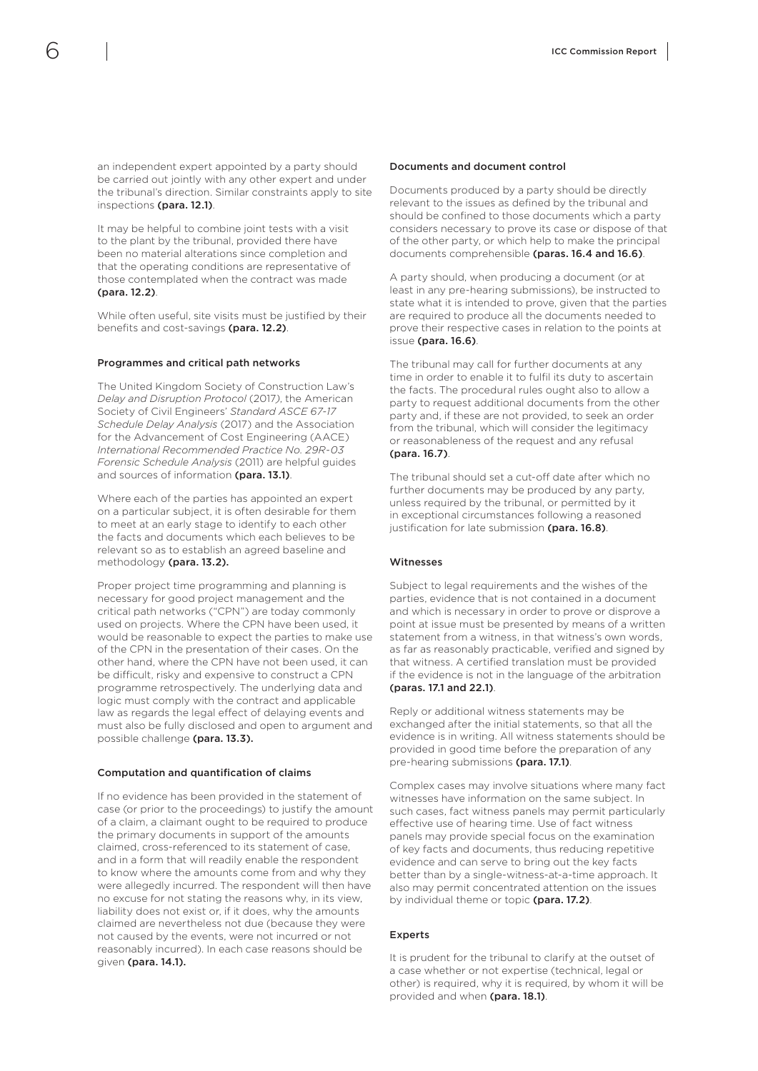an independent expert appointed by a party should be carried out jointly with any other expert and under the tribunal's direction. Similar constraints apply to site inspections (para. 12.1).

It may be helpful to combine joint tests with a visit to the plant by the tribunal, provided there have been no material alterations since completion and that the operating conditions are representative of those contemplated when the contract was made (para. 12.2).

While often useful, site visits must be justified by their benefits and cost-savings (para. 12.2).

#### Programmes and critical path networks

The United Kingdom Society of Construction Law's *Delay and Disruption Protocol* (2017*)*, the American Society of Civil Engineers' *Standard ASCE 67-17 Schedule Delay Analysis* (2017) and the Association for the Advancement of Cost Engineering (AACE) *International Recommended Practice No. 29R-03 Forensic Schedule Analysis* (2011) are helpful guides and sources of information (para. 13.1).

Where each of the parties has appointed an expert on a particular subject, it is often desirable for them to meet at an early stage to identify to each other the facts and documents which each believes to be relevant so as to establish an agreed baseline and methodology (para. 13.2).

Proper project time programming and planning is necessary for good project management and the critical path networks ("CPN") are today commonly used on projects. Where the CPN have been used, it would be reasonable to expect the parties to make use of the CPN in the presentation of their cases. On the other hand, where the CPN have not been used, it can be difficult, risky and expensive to construct a CPN programme retrospectively. The underlying data and logic must comply with the contract and applicable law as regards the legal effect of delaying events and must also be fully disclosed and open to argument and possible challenge (para. 13.3).

#### Computation and quantification of claims

If no evidence has been provided in the statement of case (or prior to the proceedings) to justify the amount of a claim, a claimant ought to be required to produce the primary documents in support of the amounts claimed, cross-referenced to its statement of case, and in a form that will readily enable the respondent to know where the amounts come from and why they were allegedly incurred. The respondent will then have no excuse for not stating the reasons why, in its view, liability does not exist or, if it does, why the amounts claimed are nevertheless not due (because they were not caused by the events, were not incurred or not reasonably incurred). In each case reasons should be given (para. 14.1).

#### Documents and document control

Documents produced by a party should be directly relevant to the issues as defined by the tribunal and should be confined to those documents which a party considers necessary to prove its case or dispose of that of the other party, or which help to make the principal documents comprehensible (paras. 16.4 and 16.6).

A party should, when producing a document (or at least in any pre-hearing submissions), be instructed to state what it is intended to prove, given that the parties are required to produce all the documents needed to prove their respective cases in relation to the points at issue (para. 16.6).

The tribunal may call for further documents at any time in order to enable it to fulfil its duty to ascertain the facts. The procedural rules ought also to allow a party to request additional documents from the other party and, if these are not provided, to seek an order from the tribunal, which will consider the legitimacy or reasonableness of the request and any refusal (para. 16.7).

The tribunal should set a cut-off date after which no further documents may be produced by any party, unless required by the tribunal, or permitted by it in exceptional circumstances following a reasoned justification for late submission (para. 16.8).

#### Witnesses

Subject to legal requirements and the wishes of the parties, evidence that is not contained in a document and which is necessary in order to prove or disprove a point at issue must be presented by means of a written statement from a witness, in that witness's own words, as far as reasonably practicable, verified and signed by that witness. A certified translation must be provided if the evidence is not in the language of the arbitration (paras. 17.1 and 22.1).

Reply or additional witness statements may be exchanged after the initial statements, so that all the evidence is in writing. All witness statements should be provided in good time before the preparation of any pre-hearing submissions (para. 17.1).

Complex cases may involve situations where many fact witnesses have information on the same subject. In such cases, fact witness panels may permit particularly effective use of hearing time. Use of fact witness panels may provide special focus on the examination of key facts and documents, thus reducing repetitive evidence and can serve to bring out the key facts better than by a single-witness-at-a-time approach. It also may permit concentrated attention on the issues by individual theme or topic (para. 17.2).

#### Experts

It is prudent for the tribunal to clarify at the outset of a case whether or not expertise (technical, legal or other) is required, why it is required, by whom it will be provided and when (para. 18.1).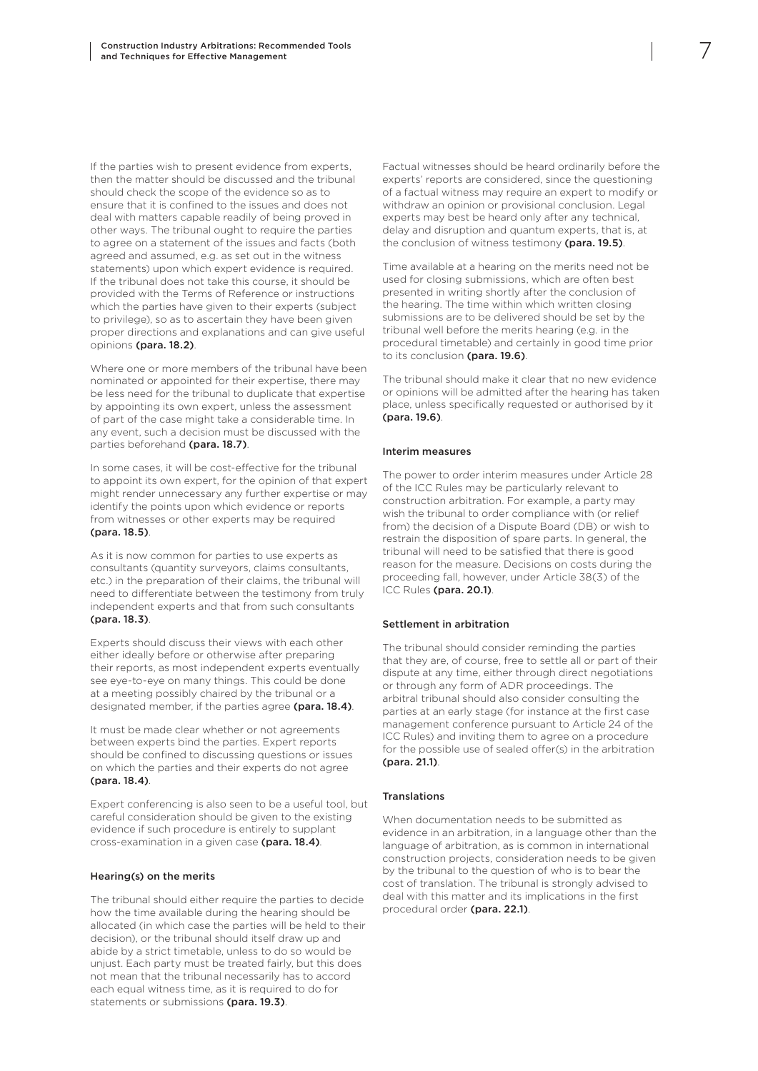If the parties wish to present evidence from experts, then the matter should be discussed and the tribunal should check the scope of the evidence so as to ensure that it is confined to the issues and does not deal with matters capable readily of being proved in other ways. The tribunal ought to require the parties to agree on a statement of the issues and facts (both agreed and assumed, e.g. as set out in the witness statements) upon which expert evidence is required. If the tribunal does not take this course, it should be provided with the Terms of Reference or instructions which the parties have given to their experts (subject to privilege), so as to ascertain they have been given proper directions and explanations and can give useful opinions (para. 18.2).

Where one or more members of the tribunal have been nominated or appointed for their expertise, there may be less need for the tribunal to duplicate that expertise by appointing its own expert, unless the assessment of part of the case might take a considerable time. In any event, such a decision must be discussed with the parties beforehand (para. 18.7).

In some cases, it will be cost-effective for the tribunal to appoint its own expert, for the opinion of that expert might render unnecessary any further expertise or may identify the points upon which evidence or reports from witnesses or other experts may be required (para. 18.5).

As it is now common for parties to use experts as consultants (quantity surveyors, claims consultants, etc.) in the preparation of their claims, the tribunal will need to differentiate between the testimony from truly independent experts and that from such consultants (para. 18.3).

Experts should discuss their views with each other either ideally before or otherwise after preparing their reports, as most independent experts eventually see eye-to-eye on many things. This could be done at a meeting possibly chaired by the tribunal or a designated member, if the parties agree (para. 18.4).

It must be made clear whether or not agreements between experts bind the parties. Expert reports should be confined to discussing questions or issues on which the parties and their experts do not agree (para. 18.4).

Expert conferencing is also seen to be a useful tool, but careful consideration should be given to the existing evidence if such procedure is entirely to supplant cross-examination in a given case (para. 18.4).

#### Hearing(s) on the merits

The tribunal should either require the parties to decide how the time available during the hearing should be allocated (in which case the parties will be held to their decision), or the tribunal should itself draw up and abide by a strict timetable, unless to do so would be unjust. Each party must be treated fairly, but this does not mean that the tribunal necessarily has to accord each equal witness time, as it is required to do for statements or submissions (para. 19.3).

Factual witnesses should be heard ordinarily before the experts' reports are considered, since the questioning of a factual witness may require an expert to modify or withdraw an opinion or provisional conclusion. Legal experts may best be heard only after any technical, delay and disruption and quantum experts, that is, at the conclusion of witness testimony (para. 19.5).

Time available at a hearing on the merits need not be used for closing submissions, which are often best presented in writing shortly after the conclusion of the hearing. The time within which written closing submissions are to be delivered should be set by the tribunal well before the merits hearing (e.g*.* in the procedural timetable) and certainly in good time prior to its conclusion (para. 19.6).

The tribunal should make it clear that no new evidence or opinions will be admitted after the hearing has taken place, unless specifically requested or authorised by it (para. 19.6).

#### Interim measures

The power to order interim measures under Article 28 of the ICC Rules may be particularly relevant to construction arbitration. For example, a party may wish the tribunal to order compliance with (or relief from) the decision of a Dispute Board (DB) or wish to restrain the disposition of spare parts. In general, the tribunal will need to be satisfied that there is good reason for the measure. Decisions on costs during the proceeding fall, however, under Article 38(3) of the ICC Rules (para. 20.1).

#### Settlement in arbitration

The tribunal should consider reminding the parties that they are, of course, free to settle all or part of their dispute at any time, either through direct negotiations or through any form of ADR proceedings. The arbitral tribunal should also consider consulting the parties at an early stage (for instance at the first case management conference pursuant to Article 24 of the ICC Rules) and inviting them to agree on a procedure for the possible use of sealed offer(s) in the arbitration (para. 21.1).

#### Translations

When documentation needs to be submitted as evidence in an arbitration, in a language other than the language of arbitration, as is common in international construction projects, consideration needs to be given by the tribunal to the question of who is to bear the cost of translation. The tribunal is strongly advised to deal with this matter and its implications in the first procedural order (para. 22.1).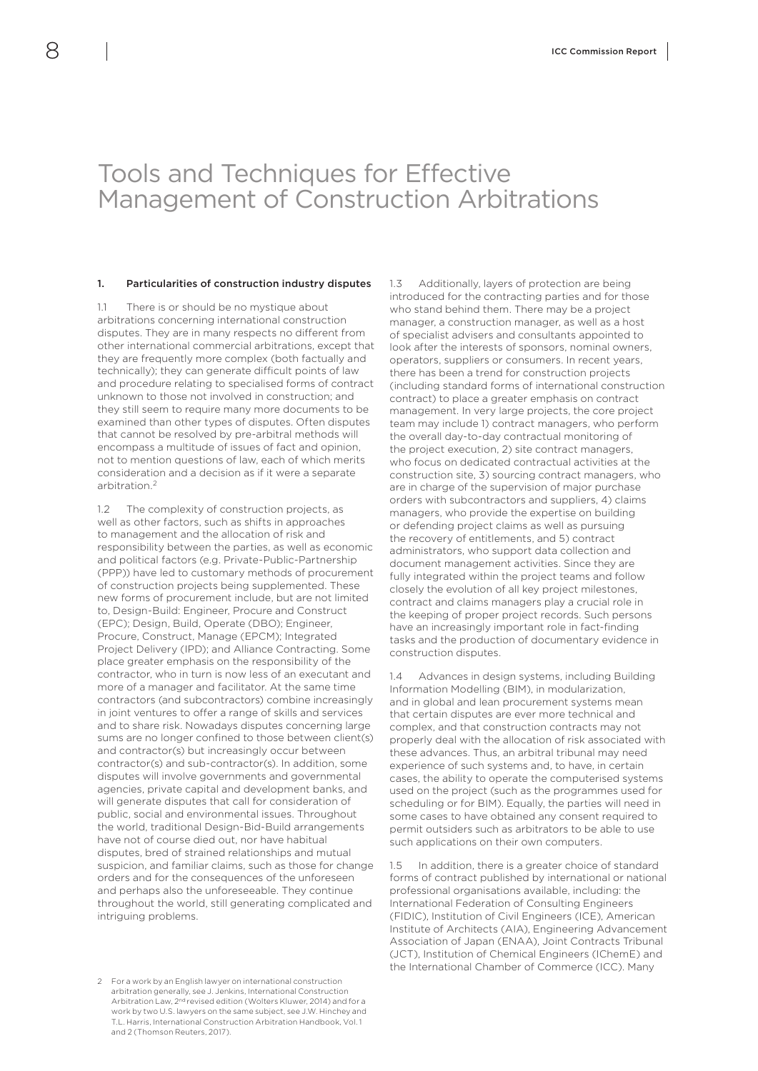### <span id="page-9-0"></span>Tools and Techniques for Effective Management of Construction Arbitrations

#### 1. Particularities of construction industry disputes

1.1 There is or should be no mystique about arbitrations concerning international construction disputes. They are in many respects no different from other international commercial arbitrations, except that they are frequently more complex (both factually and technically); they can generate difficult points of law and procedure relating to specialised forms of contract unknown to those not involved in construction; and they still seem to require many more documents to be examined than other types of disputes. Often disputes that cannot be resolved by pre-arbitral methods will encompass a multitude of issues of fact and opinion, not to mention questions of law, each of which merits consideration and a decision as if it were a separate arbitration<sup>2</sup>

1.2 The complexity of construction projects, as well as other factors, such as shifts in approaches to management and the allocation of risk and responsibility between the parties, as well as economic and political factors (e.g. Private-Public-Partnership (PPP)) have led to customary methods of procurement of construction projects being supplemented. These new forms of procurement include, but are not limited to, Design-Build: Engineer, Procure and Construct (EPC); Design, Build, Operate (DBO); Engineer, Procure, Construct, Manage (EPCM); Integrated Project Delivery (IPD); and Alliance Contracting. Some place greater emphasis on the responsibility of the contractor, who in turn is now less of an executant and more of a manager and facilitator. At the same time contractors (and subcontractors) combine increasingly in joint ventures to offer a range of skills and services and to share risk. Nowadays disputes concerning large sums are no longer confined to those between client(s) and contractor(s) but increasingly occur between contractor(s) and sub-contractor(s). In addition, some disputes will involve governments and governmental agencies, private capital and development banks, and will generate disputes that call for consideration of public, social and environmental issues. Throughout the world, traditional Design-Bid-Build arrangements have not of course died out, nor have habitual disputes, bred of strained relationships and mutual suspicion, and familiar claims, such as those for change orders and for the consequences of the unforeseen and perhaps also the unforeseeable. They continue throughout the world, still generating complicated and intriguing problems.

2 For a work by an English lawyer on international construction arbitration generally, see J. Jenkins, International Construction Arbitration Law, 2nd revised edition (Wolters Kluwer, 2014) and for a work by two U.S. lawyers on the same subject, see J.W. Hinchey and T.L. Harris, International Construction Arbitration Handbook, Vol. 1 and 2 (Thomson Reuters, 2017).

1.3 Additionally, layers of protection are being introduced for the contracting parties and for those who stand behind them. There may be a project manager, a construction manager, as well as a host of specialist advisers and consultants appointed to look after the interests of sponsors, nominal owners operators, suppliers or consumers. In recent years, there has been a trend for construction projects (including standard forms of international construction contract) to place a greater emphasis on contract management. In very large projects, the core project team may include 1) contract managers, who perform the overall day-to-day contractual monitoring of the project execution, 2) site contract managers, who focus on dedicated contractual activities at the construction site, 3) sourcing contract managers, who are in charge of the supervision of major purchase orders with subcontractors and suppliers, 4) claims managers, who provide the expertise on building or defending project claims as well as pursuing the recovery of entitlements, and 5) contract administrators, who support data collection and document management activities. Since they are fully integrated within the project teams and follow closely the evolution of all key project milestones, contract and claims managers play a crucial role in the keeping of proper project records. Such persons have an increasingly important role in fact-finding tasks and the production of documentary evidence in construction disputes.

1.4 Advances in design systems, including Building Information Modelling (BIM), in modularization, and in global and lean procurement systems mean that certain disputes are ever more technical and complex, and that construction contracts may not properly deal with the allocation of risk associated with these advances. Thus, an arbitral tribunal may need experience of such systems and, to have, in certain cases, the ability to operate the computerised systems used on the project (such as the programmes used for scheduling or for BIM). Equally, the parties will need in some cases to have obtained any consent required to permit outsiders such as arbitrators to be able to use such applications on their own computers.

1.5 In addition, there is a greater choice of standard forms of contract published by international or national professional organisations available, including: the International Federation of Consulting Engineers (FIDIC), Institution of Civil Engineers (ICE), American Institute of Architects (AIA), Engineering Advancement Association of Japan (ENAA), Joint Contracts Tribunal (JCT), Institution of Chemical Engineers (IChemE) and the International Chamber of Commerce (ICC). Many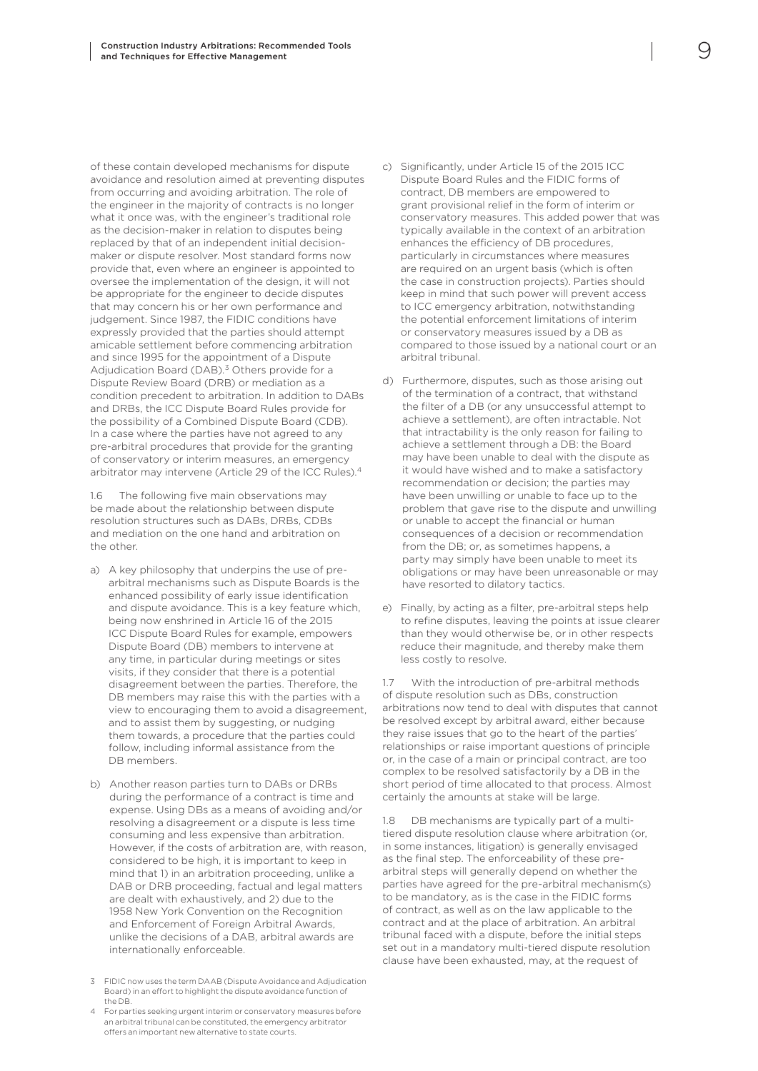of these contain developed mechanisms for dispute avoidance and resolution aimed at preventing disputes from occurring and avoiding arbitration. The role of the engineer in the majority of contracts is no longer what it once was, with the engineer's traditional role as the decision-maker in relation to disputes being replaced by that of an independent initial decisionmaker or dispute resolver. Most standard forms now provide that, even where an engineer is appointed to oversee the implementation of the design, it will not be appropriate for the engineer to decide disputes that may concern his or her own performance and judgement. Since 1987, the FIDIC conditions have expressly provided that the parties should attempt amicable settlement before commencing arbitration and since 1995 for the appointment of a Dispute Adjudication Board (DAB).<sup>3</sup> Others provide for a Dispute Review Board (DRB) or mediation as a condition precedent to arbitration. In addition to DABs and DRBs, the ICC Dispute Board Rules provide for the possibility of a Combined Dispute Board (CDB). In a case where the parties have not agreed to any pre-arbitral procedures that provide for the granting of conservatory or interim measures, an emergency arbitrator may intervene (Article 29 of the ICC Rules).4

1.6 The following five main observations may be made about the relationship between dispute resolution structures such as DABs, DRBs, CDBs and mediation on the one hand and arbitration on the other.

- a) A key philosophy that underpins the use of prearbitral mechanisms such as Dispute Boards is the enhanced possibility of early issue identification and dispute avoidance. This is a key feature which, being now enshrined in Article 16 of the 2015 ICC Dispute Board Rules for example, empowers Dispute Board (DB) members to intervene at any time, in particular during meetings or sites visits, if they consider that there is a potential disagreement between the parties. Therefore, the DB members may raise this with the parties with a view to encouraging them to avoid a disagreement, and to assist them by suggesting, or nudging them towards, a procedure that the parties could follow, including informal assistance from the DB members.
- b) Another reason parties turn to DABs or DRBs during the performance of a contract is time and expense. Using DBs as a means of avoiding and/or resolving a disagreement or a dispute is less time consuming and less expensive than arbitration. However, if the costs of arbitration are, with reason, considered to be high, it is important to keep in mind that 1) in an arbitration proceeding, unlike a DAB or DRB proceeding, factual and legal matters are dealt with exhaustively, and 2) due to the 1958 New York Convention on the Recognition and Enforcement of Foreign Arbitral Awards, unlike the decisions of a DAB, arbitral awards are internationally enforceable.
- c) Significantly, under Article 15 of the 2015 ICC Dispute Board Rules and the FIDIC forms of contract, DB members are empowered to grant provisional relief in the form of interim or conservatory measures. This added power that was typically available in the context of an arbitration enhances the efficiency of DB procedures, particularly in circumstances where measures are required on an urgent basis (which is often the case in construction projects). Parties should keep in mind that such power will prevent access to ICC emergency arbitration, notwithstanding the potential enforcement limitations of interim or conservatory measures issued by a DB as compared to those issued by a national court or an arbitral tribunal.
- d) Furthermore, disputes, such as those arising out of the termination of a contract, that withstand the filter of a DB (or any unsuccessful attempt to achieve a settlement), are often intractable. Not that intractability is the only reason for failing to achieve a settlement through a DB: the Board may have been unable to deal with the dispute as it would have wished and to make a satisfactory recommendation or decision; the parties may have been unwilling or unable to face up to the problem that gave rise to the dispute and unwilling or unable to accept the financial or human consequences of a decision or recommendation from the DB; or, as sometimes happens, a party may simply have been unable to meet its obligations or may have been unreasonable or may have resorted to dilatory tactics.
- e) Finally, by acting as a filter, pre-arbitral steps help to refine disputes, leaving the points at issue clearer than they would otherwise be, or in other respects reduce their magnitude, and thereby make them less costly to resolve.

1.7 With the introduction of pre-arbitral methods of dispute resolution such as DBs, construction arbitrations now tend to deal with disputes that cannot be resolved except by arbitral award, either because they raise issues that go to the heart of the parties' relationships or raise important questions of principle or, in the case of a main or principal contract, are too complex to be resolved satisfactorily by a DB in the short period of time allocated to that process. Almost certainly the amounts at stake will be large.

1.8 DB mechanisms are typically part of a multitiered dispute resolution clause where arbitration (or, in some instances, litigation) is generally envisaged as the final step. The enforceability of these prearbitral steps will generally depend on whether the parties have agreed for the pre-arbitral mechanism(s) to be mandatory, as is the case in the FIDIC forms of contract, as well as on the law applicable to the contract and at the place of arbitration. An arbitral tribunal faced with a dispute, before the initial steps set out in a mandatory multi-tiered dispute resolution clause have been exhausted, may, at the request of

<sup>3</sup> FIDIC now uses the term DAAB (Dispute Avoidance and Adjudication Board) in an effort to highlight the dispute avoidance function of the DB.

<sup>4</sup> For parties seeking urgent interim or conservatory measures before an arbitral tribunal can be constituted, the emergency arbitrator offers an important new alternative to state courts.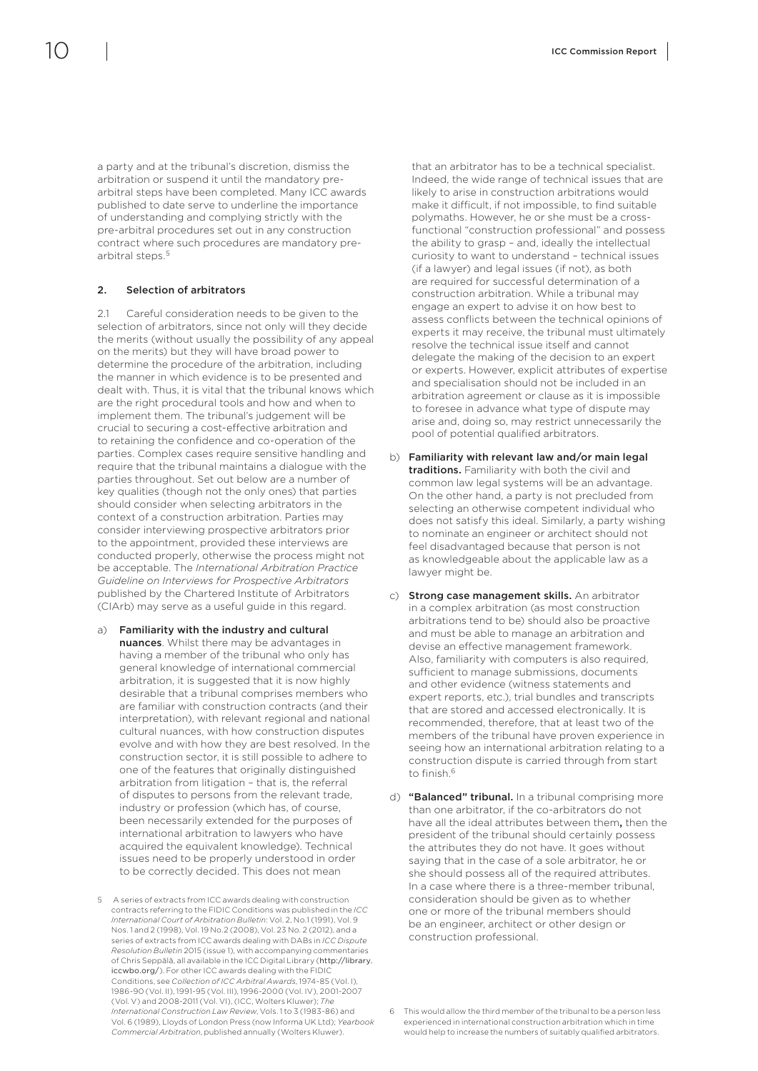<span id="page-11-0"></span>a party and at the tribunal's discretion, dismiss the arbitration or suspend it until the mandatory prearbitral steps have been completed. Many ICC awards published to date serve to underline the importance of understanding and complying strictly with the pre-arbitral procedures set out in any construction contract where such procedures are mandatory prearbitral steps.5

#### 2. Selection of arbitrators

2.1 Careful consideration needs to be given to the selection of arbitrators, since not only will they decide the merits (without usually the possibility of any appeal on the merits) but they will have broad power to determine the procedure of the arbitration, including the manner in which evidence is to be presented and dealt with. Thus, it is vital that the tribunal knows which are the right procedural tools and how and when to implement them. The tribunal's judgement will be crucial to securing a cost-effective arbitration and to retaining the confidence and co-operation of the parties. Complex cases require sensitive handling and require that the tribunal maintains a dialogue with the parties throughout. Set out below are a number of key qualities (though not the only ones) that parties should consider when selecting arbitrators in the context of a construction arbitration. Parties may consider interviewing prospective arbitrators prior to the appointment, provided these interviews are conducted properly, otherwise the process might not be acceptable. The *International Arbitration Practice Guideline on Interviews for Prospective Arbitrators* published by the Chartered Institute of Arbitrators (CIArb) may serve as a useful guide in this regard.

- a) Familiarity with the industry and cultural nuances. Whilst there may be advantages in having a member of the tribunal who only has general knowledge of international commercial arbitration, it is suggested that it is now highly desirable that a tribunal comprises members who are familiar with construction contracts (and their interpretation), with relevant regional and national cultural nuances, with how construction disputes evolve and with how they are best resolved. In the construction sector, it is still possible to adhere to one of the features that originally distinguished arbitration from litigation – that is, the referral of disputes to persons from the relevant trade, industry or profession (which has, of course, been necessarily extended for the purposes of international arbitration to lawyers who have acquired the equivalent knowledge). Technical issues need to be properly understood in order to be correctly decided. This does not mean
- 5 A series of extracts from ICC awards dealing with construction contracts referring to the FIDIC Conditions was published in the *ICC International Court of Arbitration Bulletin*: Vol. 2, No.1 (1991), Vol. 9 Nos. 1 and 2 (1998), Vol. 19 No.2 (2008), Vol. 23 No. 2 (2012), and a series of extracts from ICC awards dealing with DABs in *ICC Dispute Resolution Bulletin* 2015 (issue 1), with accompanying commentaries of Chris Seppälä, all available in the ICC Digital Library (http://library. iccwbo.org/). For other ICC awards dealing with the FIDIC Conditions, see *Collection of ICC Arbitral Awards*, 1974-85 (Vol. I), 1986-90 (Vol. II), 1991-95 (Vol. III), 1996-2000 (Vol. IV), 2001-2007 (Vol. V) and 2008-2011 (Vol. VI), (ICC, Wolters Kluwer); *The International Construction Law Review*, Vols. 1 to 3 (1983-86) and Vol. 6 (1989), Lloyds of London Press (now Informa UK Ltd); *Yearbook Commercial Arbitration*, published annually (Wolters Kluwer).

that an arbitrator has to be a technical specialist. Indeed, the wide range of technical issues that are likely to arise in construction arbitrations would make it difficult, if not impossible, to find suitable polymaths. However, he or she must be a crossfunctional "construction professional" and possess the ability to grasp – and, ideally the intellectual curiosity to want to understand – technical issues (if a lawyer) and legal issues (if not), as both are required for successful determination of a construction arbitration. While a tribunal may engage an expert to advise it on how best to assess conflicts between the technical opinions of experts it may receive, the tribunal must ultimately resolve the technical issue itself and cannot delegate the making of the decision to an expert or experts. However, explicit attributes of expertise and specialisation should not be included in an arbitration agreement or clause as it is impossible to foresee in advance what type of dispute may arise and, doing so, may restrict unnecessarily the pool of potential qualified arbitrators.

- b) Familiarity with relevant law and/or main legal traditions. Familiarity with both the civil and common law legal systems will be an advantage. On the other hand, a party is not precluded from selecting an otherwise competent individual who does not satisfy this ideal. Similarly, a party wishing to nominate an engineer or architect should not feel disadvantaged because that person is not as knowledgeable about the applicable law as a lawyer might be.
- c) Strong case management skills. An arbitrator in a complex arbitration (as most construction arbitrations tend to be) should also be proactive and must be able to manage an arbitration and devise an effective management framework. Also, familiarity with computers is also required, sufficient to manage submissions, documents and other evidence (witness statements and expert reports, etc.), trial bundles and transcripts that are stored and accessed electronically. It is recommended, therefore, that at least two of the members of the tribunal have proven experience in seeing how an international arbitration relating to a construction dispute is carried through from start to finish.6
- d) "Balanced" tribunal. In a tribunal comprising more than one arbitrator, if the co-arbitrators do not have all the ideal attributes between them, then the president of the tribunal should certainly possess the attributes they do not have. It goes without saying that in the case of a sole arbitrator, he or she should possess all of the required attributes. In a case where there is a three-member tribunal, consideration should be given as to whether one or more of the tribunal members should be an engineer, architect or other design or construction professional.

<sup>6</sup> This would allow the third member of the tribunal to be a person less experienced in international construction arbitration which in time would help to increase the numbers of suitably qualified arbitrators.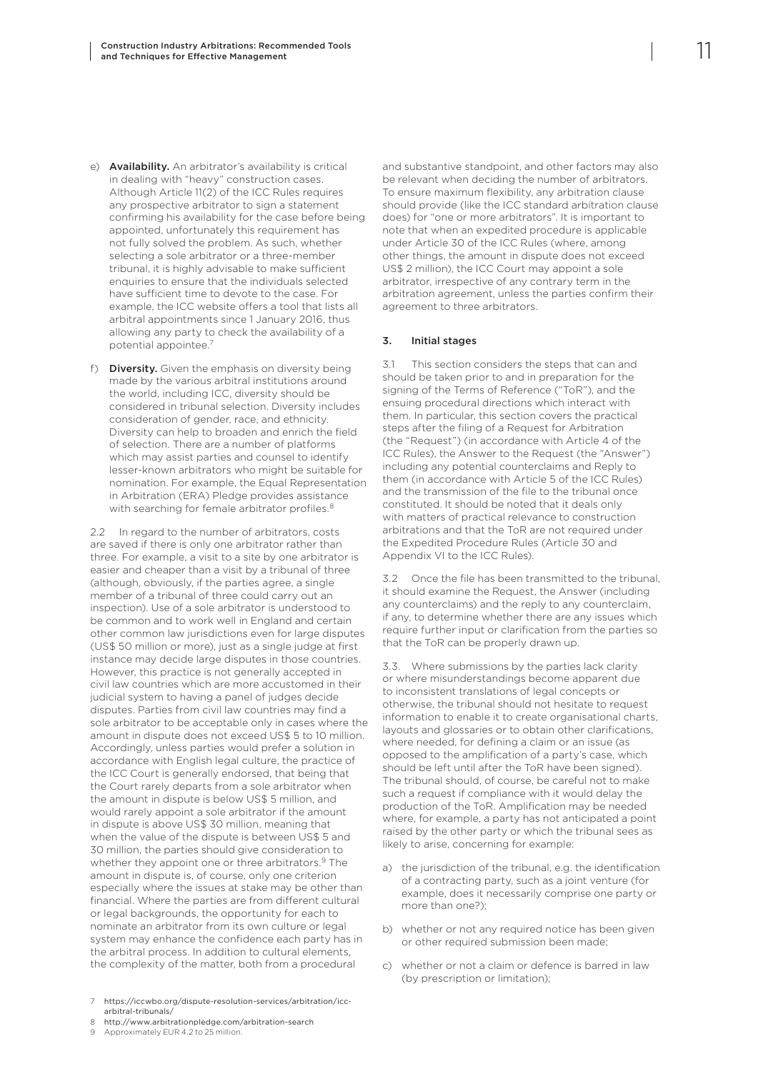- <span id="page-12-0"></span>e) Availability. An arbitrator's availability is critical in dealing with "heavy" construction cases. Although Article 11(2) of the ICC Rules requires any prospective arbitrator to sign a statement confirming his availability for the case before being appointed, unfortunately this requirement has not fully solved the problem. As such, whether selecting a sole arbitrator or a three-member tribunal, it is highly advisable to make sufficient enquiries to ensure that the individuals selected have sufficient time to devote to the case. For example, the ICC website offers a tool that lists all arbitral appointments since 1 January 2016, thus allowing any party to check the availability of a potential appointee.7
- f) Diversity. Given the emphasis on diversity being made by the various arbitral institutions around the world, including ICC, diversity should be considered in tribunal selection. Diversity includes consideration of gender, race, and ethnicity. Diversity can help to broaden and enrich the field of selection. There are a number of platforms which may assist parties and counsel to identify lesser-known arbitrators who might be suitable for nomination. For example, the Equal Representation in Arbitration (ERA) Pledge provides assistance with searching for female arbitrator profiles.<sup>8</sup>

2.2 In regard to the number of arbitrators, costs are saved if there is only one arbitrator rather than three. For example, a visit to a site by one arbitrator is easier and cheaper than a visit by a tribunal of three (although, obviously, if the parties agree, a single member of a tribunal of three could carry out an inspection). Use of a sole arbitrator is understood to be common and to work well in England and certain other common law jurisdictions even for large disputes (US\$ 50 million or more), just as a single judge at first instance may decide large disputes in those countries. However, this practice is not generally accepted in civil law countries which are more accustomed in their judicial system to having a panel of judges decide disputes. Parties from civil law countries may find a sole arbitrator to be acceptable only in cases where the amount in dispute does not exceed US\$ 5 to 10 million. Accordingly, unless parties would prefer a solution in accordance with English legal culture, the practice of the ICC Court is generally endorsed, that being that the Court rarely departs from a sole arbitrator when the amount in dispute is below US\$ 5 million, and would rarely appoint a sole arbitrator if the amount in dispute is above US\$ 30 million, meaning that when the value of the dispute is between US\$ 5 and 30 million, the parties should give consideration to whether they appoint one or three arbitrators.<sup>9</sup> The amount in dispute is, of course, only one criterion especially where the issues at stake may be other than financial. Where the parties are from different cultural or legal backgrounds, the opportunity for each to nominate an arbitrator from its own culture or legal system may enhance the confidence each party has in the arbitral process. In addition to cultural elements, the complexity of the matter, both from a procedural

7 [https://iccwbo.org/dispute-resolution-services/arbitration/icc](https://iccwbo.org/dispute-resolution-services/arbitration/icc-arbitral-tribunals/)[arbitral-tribunals/](https://iccwbo.org/dispute-resolution-services/arbitration/icc-arbitral-tribunals/)

8 <http://www.arbitrationpledge.com/arbitration-search>

Approximately EUR 4.2 to 25 million.

and substantive standpoint, and other factors may also be relevant when deciding the number of arbitrators. To ensure maximum flexibility, any arbitration clause should provide (like the ICC standard arbitration clause does) for "one or more arbitrators". It is important to note that when an expedited procedure is applicable under Article 30 of the ICC Rules (where, among other things, the amount in dispute does not exceed US\$ 2 million), the ICC Court may appoint a sole arbitrator, irrespective of any contrary term in the arbitration agreement, unless the parties confirm their agreement to three arbitrators.

#### 3. Initial stages

3.1 This section considers the steps that can and should be taken prior to and in preparation for the signing of the Terms of Reference ("ToR"), and the ensuing procedural directions which interact with them. In particular, this section covers the practical steps after the filing of a Request for Arbitration (the "Request") (in accordance with Article 4 of the ICC Rules), the Answer to the Request (the "Answer") including any potential counterclaims and Reply to them (in accordance with Article 5 of the ICC Rules) and the transmission of the file to the tribunal once constituted. It should be noted that it deals only with matters of practical relevance to construction arbitrations and that the ToR are not required under the Expedited Procedure Rules (Article 30 and Appendix VI to the ICC Rules).

3.2 Once the file has been transmitted to the tribunal, it should examine the Request, the Answer (including any counterclaims) and the reply to any counterclaim, if any, to determine whether there are any issues which require further input or clarification from the parties so that the ToR can be properly drawn up.

3.3. Where submissions by the parties lack clarity or where misunderstandings become apparent due to inconsistent translations of legal concepts or otherwise, the tribunal should not hesitate to request information to enable it to create organisational charts, layouts and glossaries or to obtain other clarifications, where needed, for defining a claim or an issue (as opposed to the amplification of a party's case, which should be left until after the ToR have been signed). The tribunal should, of course, be careful not to make such a request if compliance with it would delay the production of the ToR. Amplification may be needed where, for example, a party has not anticipated a point raised by the other party or which the tribunal sees as likely to arise, concerning for example:

- a) the jurisdiction of the tribunal, e.g. the identification of a contracting party, such as a joint venture (for example, does it necessarily comprise one party or more than one?);
- b) whether or not any required notice has been given or other required submission been made;
- c) whether or not a claim or defence is barred in law (by prescription or limitation);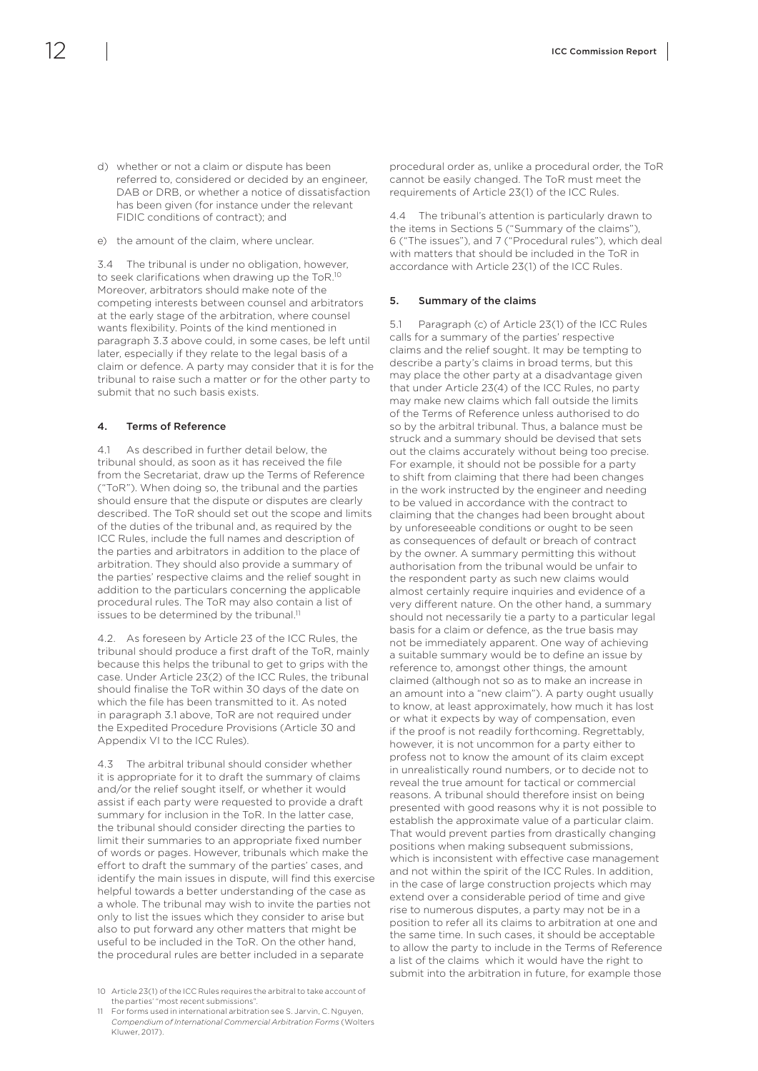- <span id="page-13-0"></span>d) whether or not a claim or dispute has been referred to, considered or decided by an engineer, DAB or DRB, or whether a notice of dissatisfaction has been given (for instance under the relevant
- FIDIC conditions of contract); and e) the amount of the claim, where unclear.

3.4 The tribunal is under no obligation, however, to seek clarifications when drawing up the ToR.10 Moreover, arbitrators should make note of the competing interests between counsel and arbitrators at the early stage of the arbitration, where counsel wants flexibility. Points of the kind mentioned in paragraph 3.3 above could, in some cases, be left until later, especially if they relate to the legal basis of a claim or defence. A party may consider that it is for the tribunal to raise such a matter or for the other party to submit that no such basis exists.

#### 4. Terms of Reference

4.1 As described in further detail below, the tribunal should, as soon as it has received the file from the Secretariat, draw up the Terms of Reference ("ToR"). When doing so, the tribunal and the parties should ensure that the dispute or disputes are clearly described. The ToR should set out the scope and limits of the duties of the tribunal and, as required by the ICC Rules, include the full names and description of the parties and arbitrators in addition to the place of arbitration. They should also provide a summary of the parties' respective claims and the relief sought in addition to the particulars concerning the applicable procedural rules. The ToR may also contain a list of issues to be determined by the tribunal.<sup>11</sup>

4.2. As foreseen by Article 23 of the ICC Rules, the tribunal should produce a first draft of the ToR, mainly because this helps the tribunal to get to grips with the case. Under Article 23(2) of the ICC Rules, the tribunal should finalise the ToR within 30 days of the date on which the file has been transmitted to it. As noted in paragraph 3.1 above, ToR are not required under the Expedited Procedure Provisions (Article 30 and Appendix VI to the ICC Rules).

4.3 The arbitral tribunal should consider whether it is appropriate for it to draft the summary of claims and/or the relief sought itself, or whether it would assist if each party were requested to provide a draft summary for inclusion in the ToR. In the latter case, the tribunal should consider directing the parties to limit their summaries to an appropriate fixed number of words or pages. However, tribunals which make the effort to draft the summary of the parties' cases, and identify the main issues in dispute, will find this exercise helpful towards a better understanding of the case as a whole. The tribunal may wish to invite the parties not only to list the issues which they consider to arise but also to put forward any other matters that might be useful to be included in the ToR. On the other hand, the procedural rules are better included in a separate

11 For forms used in international arbitration see S. Jarvin, C. Nguyen, *Compendium of International Commercial Arbitration Forms* (Wolters Kluwer, 2017).

procedural order as, unlike a procedural order, the ToR cannot be easily changed. The ToR must meet the requirements of Article 23(1) of the ICC Rules.

4.4 The tribunal's attention is particularly drawn to the items in Sections 5 ("Summary of the claims"), 6 ("The issues"), and 7 ("Procedural rules"), which deal with matters that should be included in the ToR in accordance with Article 23(1) of the ICC Rules.

#### 5. Summary of the claims

5.1 Paragraph (c) of Article 23(1) of the ICC Rules calls for a summary of the parties' respective claims and the relief sought. It may be tempting to describe a party's claims in broad terms, but this may place the other party at a disadvantage given that under Article 23(4) of the ICC Rules, no party may make new claims which fall outside the limits of the Terms of Reference unless authorised to do so by the arbitral tribunal. Thus, a balance must be struck and a summary should be devised that sets out the claims accurately without being too precise. For example, it should not be possible for a party to shift from claiming that there had been changes in the work instructed by the engineer and needing to be valued in accordance with the contract to claiming that the changes had been brought about by unforeseeable conditions or ought to be seen as consequences of default or breach of contract by the owner. A summary permitting this without authorisation from the tribunal would be unfair to the respondent party as such new claims would almost certainly require inquiries and evidence of a very different nature. On the other hand, a summary should not necessarily tie a party to a particular legal basis for a claim or defence, as the true basis may not be immediately apparent. One way of achieving a suitable summary would be to define an issue by reference to, amongst other things, the amount claimed (although not so as to make an increase in an amount into a "new claim"). A party ought usually to know, at least approximately, how much it has lost or what it expects by way of compensation, even if the proof is not readily forthcoming. Regrettably, however, it is not uncommon for a party either to profess not to know the amount of its claim except in unrealistically round numbers, or to decide not to reveal the true amount for tactical or commercial reasons. A tribunal should therefore insist on being presented with good reasons why it is not possible to establish the approximate value of a particular claim. That would prevent parties from drastically changing positions when making subsequent submissions, which is inconsistent with effective case management and not within the spirit of the ICC Rules. In addition, in the case of large construction projects which may extend over a considerable period of time and give rise to numerous disputes, a party may not be in a position to refer all its claims to arbitration at one and the same time. In such cases, it should be acceptable to allow the party to include in the Terms of Reference a list of the claims which it would have the right to submit into the arbitration in future, for example those

<sup>10</sup> Article 23(1) of the ICC Rules requires the arbitral to take account of the parties' "most recent submissions".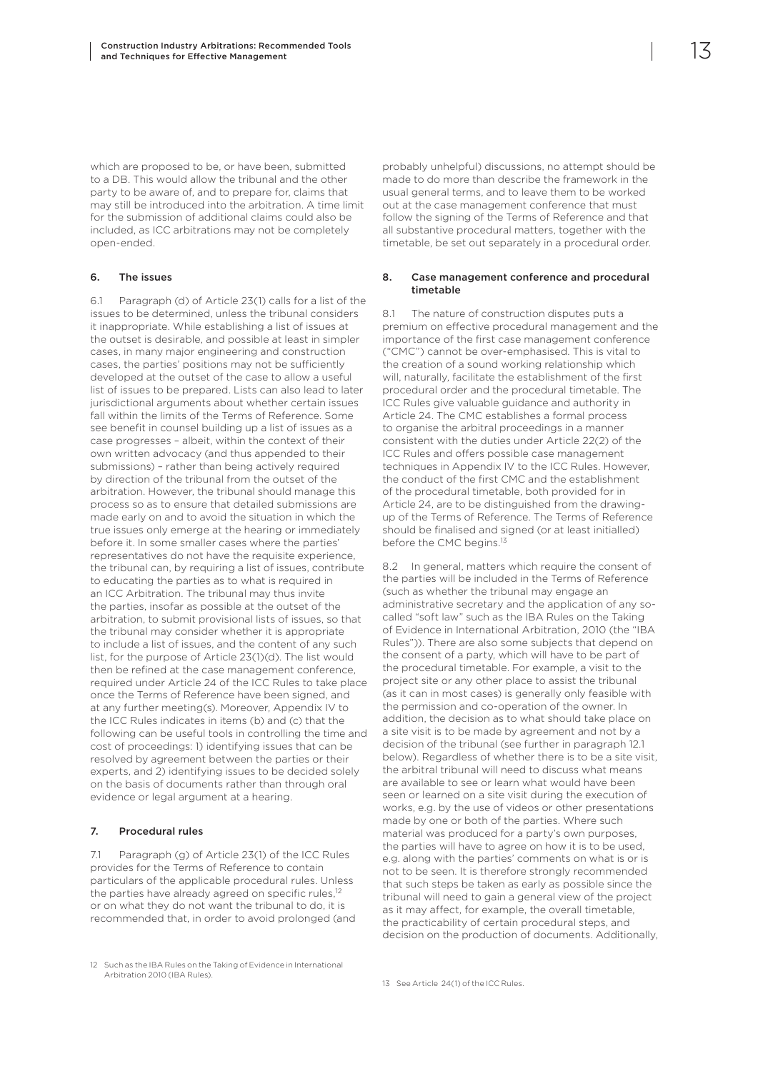<span id="page-14-0"></span>which are proposed to be, or have been, submitted to a DB. This would allow the tribunal and the other party to be aware of, and to prepare for, claims that may still be introduced into the arbitration. A time limit for the submission of additional claims could also be included, as ICC arbitrations may not be completely open-ended.

#### 6. The issues

6.1 Paragraph (d) of Article 23(1) calls for a list of the issues to be determined, unless the tribunal considers it inappropriate. While establishing a list of issues at the outset is desirable, and possible at least in simpler cases, in many major engineering and construction cases, the parties' positions may not be sufficiently developed at the outset of the case to allow a useful list of issues to be prepared. Lists can also lead to later jurisdictional arguments about whether certain issues fall within the limits of the Terms of Reference. Some see benefit in counsel building up a list of issues as a case progresses – albeit, within the context of their own written advocacy (and thus appended to their submissions) – rather than being actively required by direction of the tribunal from the outset of the arbitration. However, the tribunal should manage this process so as to ensure that detailed submissions are made early on and to avoid the situation in which the true issues only emerge at the hearing or immediately before it. In some smaller cases where the parties' representatives do not have the requisite experience, the tribunal can, by requiring a list of issues, contribute to educating the parties as to what is required in an ICC Arbitration. The tribunal may thus invite the parties, insofar as possible at the outset of the arbitration, to submit provisional lists of issues, so that the tribunal may consider whether it is appropriate to include a list of issues, and the content of any such list, for the purpose of Article 23(1)(d). The list would then be refined at the case management conference, required under Article 24 of the ICC Rules to take place once the Terms of Reference have been signed, and at any further meeting(s). Moreover, Appendix IV to the ICC Rules indicates in items (b) and (c) that the following can be useful tools in controlling the time and cost of proceedings: 1) identifying issues that can be resolved by agreement between the parties or their experts, and 2) identifying issues to be decided solely on the basis of documents rather than through oral evidence or legal argument at a hearing.

#### 7. Procedural rules

7.1 Paragraph (g) of Article 23(1) of the ICC Rules provides for the Terms of Reference to contain particulars of the applicable procedural rules. Unless the parties have already agreed on specific rules,<sup>12</sup> or on what they do not want the tribunal to do, it is recommended that, in order to avoid prolonged (and

probably unhelpful) discussions, no attempt should be made to do more than describe the framework in the usual general terms, and to leave them to be worked out at the case management conference that must follow the signing of the Terms of Reference and that all substantive procedural matters, together with the timetable, be set out separately in a procedural order.

#### 8. Case management conference and procedural timetable

8.1 The nature of construction disputes puts a premium on effective procedural management and the importance of the first case management conference ("CMC") cannot be over-emphasised. This is vital to the creation of a sound working relationship which will, naturally, facilitate the establishment of the first procedural order and the procedural timetable. The ICC Rules give valuable guidance and authority in Article 24. The CMC establishes a formal process to organise the arbitral proceedings in a manner consistent with the duties under Article 22(2) of the ICC Rules and offers possible case management techniques in Appendix IV to the ICC Rules. However, the conduct of the first CMC and the establishment of the procedural timetable, both provided for in Article 24, are to be distinguished from the drawingup of the Terms of Reference. The Terms of Reference should be finalised and signed (or at least initialled) before the CMC begins.<sup>13</sup>

8.2 In general, matters which require the consent of the parties will be included in the Terms of Reference (such as whether the tribunal may engage an administrative secretary and the application of any socalled "soft law" such as the IBA Rules on the Taking of Evidence in International Arbitration, 2010 (the "IBA Rules")). There are also some subjects that depend on the consent of a party, which will have to be part of the procedural timetable. For example, a visit to the project site or any other place to assist the tribunal (as it can in most cases) is generally only feasible with the permission and co-operation of the owner. In addition, the decision as to what should take place on a site visit is to be made by agreement and not by a decision of the tribunal (see further in paragraph 12.1 below). Regardless of whether there is to be a site visit, the arbitral tribunal will need to discuss what means are available to see or learn what would have been seen or learned on a site visit during the execution of works, e.g. by the use of videos or other presentations made by one or both of the parties. Where such material was produced for a party's own purposes, the parties will have to agree on how it is to be used, e.g. along with the parties' comments on what is or is not to be seen. It is therefore strongly recommended that such steps be taken as early as possible since the tribunal will need to gain a general view of the project as it may affect, for example, the overall timetable, the practicability of certain procedural steps, and decision on the production of documents. Additionally,

<sup>12</sup> Such as the IBA Rules on the Taking of Evidence in International Arbitration 2010 (IBA Rules).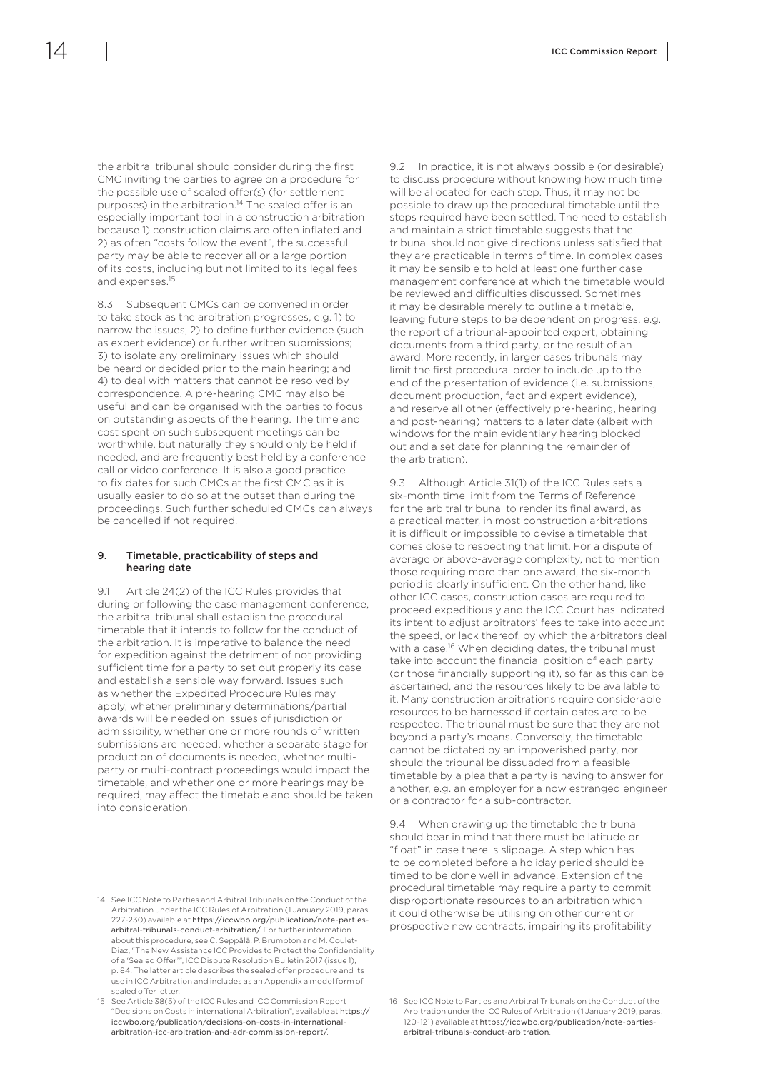<span id="page-15-0"></span>the arbitral tribunal should consider during the first CMC inviting the parties to agree on a procedure for the possible use of sealed offer(s) (for settlement purposes) in the arbitration.<sup>14</sup> The sealed offer is an especially important tool in a construction arbitration because 1) construction claims are often inflated and 2) as often "costs follow the event", the successful party may be able to recover all or a large portion of its costs, including but not limited to its legal fees and expenses.15

8.3 Subsequent CMCs can be convened in order to take stock as the arbitration progresses, e.g. 1) to narrow the issues; 2) to define further evidence (such as expert evidence) or further written submissions; 3) to isolate any preliminary issues which should be heard or decided prior to the main hearing; and 4) to deal with matters that cannot be resolved by correspondence. A pre-hearing CMC may also be useful and can be organised with the parties to focus on outstanding aspects of the hearing. The time and cost spent on such subsequent meetings can be worthwhile, but naturally they should only be held if needed, and are frequently best held by a conference call or video conference. It is also a good practice to fix dates for such CMCs at the first CMC as it is usually easier to do so at the outset than during the proceedings. Such further scheduled CMCs can always be cancelled if not required.

#### 9. Timetable, practicability of steps and hearing date

9.1 Article 24(2) of the ICC Rules provides that during or following the case management conference, the arbitral tribunal shall establish the procedural timetable that it intends to follow for the conduct of the arbitration. It is imperative to balance the need for expedition against the detriment of not providing sufficient time for a party to set out properly its case and establish a sensible way forward. Issues such as whether the Expedited Procedure Rules may apply, whether preliminary determinations/partial awards will be needed on issues of jurisdiction or admissibility, whether one or more rounds of written submissions are needed, whether a separate stage for production of documents is needed, whether multiparty or multi-contract proceedings would impact the timetable, and whether one or more hearings may be required, may affect the timetable and should be taken into consideration.

9.2 In practice, it is not always possible (or desirable) to discuss procedure without knowing how much time will be allocated for each step. Thus, it may not be possible to draw up the procedural timetable until the steps required have been settled. The need to establish and maintain a strict timetable suggests that the tribunal should not give directions unless satisfied that they are practicable in terms of time. In complex cases it may be sensible to hold at least one further case management conference at which the timetable would be reviewed and difficulties discussed. Sometimes it may be desirable merely to outline a timetable, leaving future steps to be dependent on progress, e.g. the report of a tribunal-appointed expert, obtaining documents from a third party, or the result of an award. More recently, in larger cases tribunals may limit the first procedural order to include up to the end of the presentation of evidence (i.e. submissions, document production, fact and expert evidence), and reserve all other (effectively pre-hearing, hearing and post-hearing) matters to a later date (albeit with windows for the main evidentiary hearing blocked out and a set date for planning the remainder of the arbitration).

9.3 Although Article 31(1) of the ICC Rules sets a six-month time limit from the Terms of Reference for the arbitral tribunal to render its final award, as a practical matter, in most construction arbitrations it is difficult or impossible to devise a timetable that comes close to respecting that limit. For a dispute of average or above-average complexity, not to mention those requiring more than one award, the six-month period is clearly insufficient. On the other hand, like other ICC cases, construction cases are required to proceed expeditiously and the ICC Court has indicated its intent to adjust arbitrators' fees to take into account the speed, or lack thereof, by which the arbitrators deal with a case.<sup>16</sup> When deciding dates, the tribunal must take into account the financial position of each party (or those financially supporting it), so far as this can be ascertained, and the resources likely to be available to it. Many construction arbitrations require considerable resources to be harnessed if certain dates are to be respected. The tribunal must be sure that they are not beyond a party's means. Conversely, the timetable cannot be dictated by an impoverished party, nor should the tribunal be dissuaded from a feasible timetable by a plea that a party is having to answer for another, e.g. an employer for a now estranged engineer or a contractor for a sub-contractor.

9.4 When drawing up the timetable the tribunal should bear in mind that there must be latitude or "float" in case there is slippage. A step which has to be completed before a holiday period should be timed to be done well in advance. Extension of the procedural timetable may require a party to commit disproportionate resources to an arbitration which it could otherwise be utilising on other current or prospective new contracts, impairing its profitability

<sup>14</sup> See ICC Note to Parties and Arbitral Tribunals on the Conduct of the Arbitration under the ICC Rules of Arbitration (1 January 2019, paras. 227-230) available at https://iccwbo.org/publication/note-partiesarbitral-tribunals-conduct-arbitration/. For further information about this procedure, see C. Seppälä, P. Brumpton and M. Coulet-Diaz, "The New Assistance ICC Provides to Protect the Confidentiality of a 'Sealed Offer'", ICC Dispute Resolution Bulletin 2017 (issue 1), p. 84. The latter article describes the sealed offer procedure and its use in ICC Arbitration and includes as an Appendix a model form of sealed offer letter

<sup>15</sup> See Article 38(5) of the ICC Rules and ICC Commission Report "Decisions on Costs in international Arbitration", available at [https://](https://iccwbo.org/publication/decisions-on-costs-in-international-arbitration-icc-arbitration-and-adr-commission-report/) [iccwbo.org/publication/decisions-on-costs-in-international](https://iccwbo.org/publication/decisions-on-costs-in-international-arbitration-icc-arbitration-and-adr-commission-report/)[arbitration-icc-arbitration-and-adr-commission-report/](https://iccwbo.org/publication/decisions-on-costs-in-international-arbitration-icc-arbitration-and-adr-commission-report/).

<sup>16</sup> See ICC Note to Parties and Arbitral Tribunals on the Conduct of the Arbitration under the ICC Rules of Arbitration (1 January 2019, paras. 120-121) available at https://iccwbo.org/publication/note-partiesarbitral-tribunals-conduct-arbitration.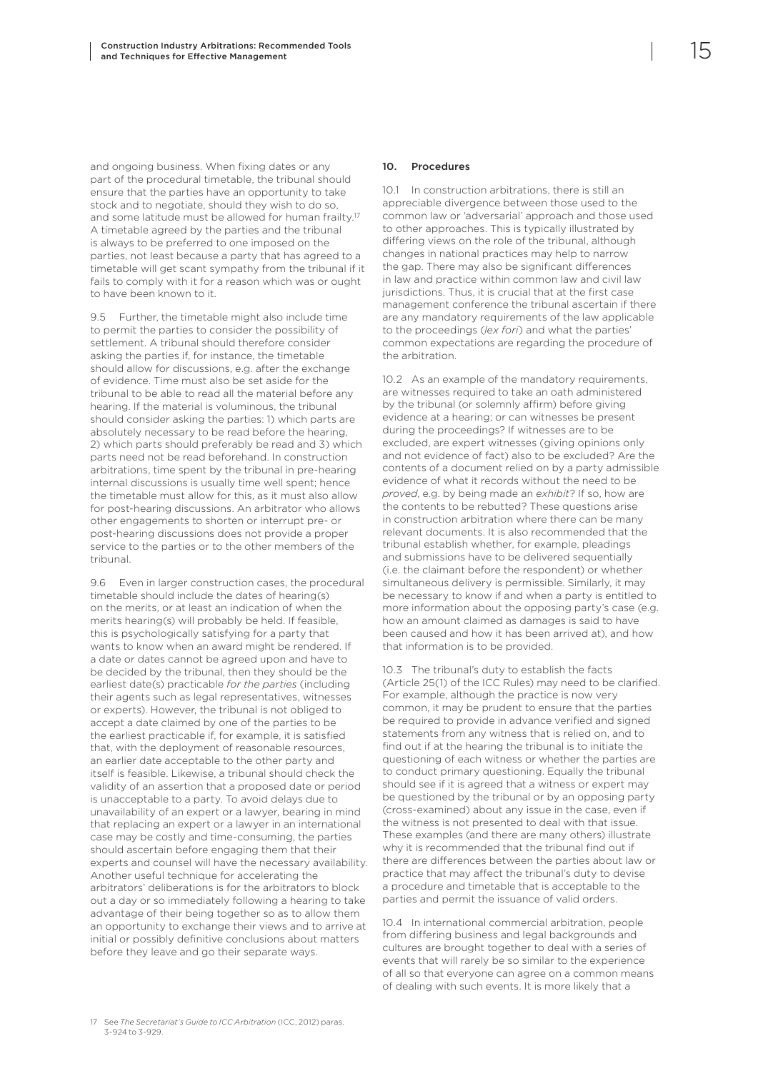<span id="page-16-0"></span>and ongoing business. When fixing dates or any part of the procedural timetable, the tribunal should ensure that the parties have an opportunity to take stock and to negotiate, should they wish to do so, and some latitude must be allowed for human frailty.<sup>17</sup> A timetable agreed by the parties and the tribunal is always to be preferred to one imposed on the parties, not least because a party that has agreed to a timetable will get scant sympathy from the tribunal if it fails to comply with it for a reason which was or ought to have been known to it.

9.5 Further, the timetable might also include time to permit the parties to consider the possibility of settlement. A tribunal should therefore consider asking the parties if, for instance, the timetable should allow for discussions, e.g. after the exchange of evidence. Time must also be set aside for the tribunal to be able to read all the material before any hearing. If the material is voluminous, the tribunal should consider asking the parties: 1) which parts are absolutely necessary to be read before the hearing, 2) which parts should preferably be read and 3) which parts need not be read beforehand. In construction arbitrations, time spent by the tribunal in pre-hearing internal discussions is usually time well spent; hence the timetable must allow for this, as it must also allow for post-hearing discussions. An arbitrator who allows other engagements to shorten or interrupt pre- or post-hearing discussions does not provide a proper service to the parties or to the other members of the tribunal.

9.6 Even in larger construction cases, the procedural timetable should include the dates of hearing(s) on the merits, or at least an indication of when the merits hearing(s) will probably be held. If feasible, this is psychologically satisfying for a party that wants to know when an award might be rendered. If a date or dates cannot be agreed upon and have to be decided by the tribunal, then they should be the earliest date(s) practicable *for the parties* (including their agents such as legal representatives, witnesses or experts). However, the tribunal is not obliged to accept a date claimed by one of the parties to be the earliest practicable if, for example, it is satisfied that, with the deployment of reasonable resources, an earlier date acceptable to the other party and itself is feasible. Likewise, a tribunal should check the validity of an assertion that a proposed date or period is unacceptable to a party. To avoid delays due to unavailability of an expert or a lawyer, bearing in mind that replacing an expert or a lawyer in an international case may be costly and time-consuming, the parties should ascertain before engaging them that their experts and counsel will have the necessary availability. Another useful technique for accelerating the arbitrators' deliberations is for the arbitrators to block out a day or so immediately following a hearing to take advantage of their being together so as to allow them an opportunity to exchange their views and to arrive at initial or possibly definitive conclusions about matters before they leave and go their separate ways.

#### 10. Procedures

10.1 In construction arbitrations, there is still an appreciable divergence between those used to the common law or 'adversarial' approach and those used to other approaches. This is typically illustrated by differing views on the role of the tribunal, although changes in national practices may help to narrow the gap. There may also be significant differences in law and practice within common law and civil law jurisdictions. Thus, it is crucial that at the first case management conference the tribunal ascertain if there are any mandatory requirements of the law applicable to the proceedings (*lex fori*) and what the parties' common expectations are regarding the procedure of the arbitration.

10.2 As an example of the mandatory requirements, are witnesses required to take an oath administered by the tribunal (or solemnly affirm) before giving evidence at a hearing; or can witnesses be present during the proceedings? If witnesses are to be excluded, are expert witnesses (giving opinions only and not evidence of fact) also to be excluded? Are the contents of a document relied on by a party admissible evidence of what it records without the need to be *proved*, e.g. by being made an *exhibit*? If so, how are the contents to be rebutted? These questions arise in construction arbitration where there can be many relevant documents. It is also recommended that the tribunal establish whether, for example, pleadings and submissions have to be delivered sequentially (i.e. the claimant before the respondent) or whether simultaneous delivery is permissible. Similarly, it may be necessary to know if and when a party is entitled to more information about the opposing party's case (e.g. how an amount claimed as damages is said to have been caused and how it has been arrived at), and how that information is to be provided.

10.3 The tribunal's duty to establish the facts (Article 25(1) of the ICC Rules) may need to be clarified. For example, although the practice is now very common, it may be prudent to ensure that the parties be required to provide in advance verified and signed statements from any witness that is relied on, and to find out if at the hearing the tribunal is to initiate the questioning of each witness or whether the parties are to conduct primary questioning. Equally the tribunal should see if it is agreed that a witness or expert may be questioned by the tribunal or by an opposing party (cross-examined) about any issue in the case, even if the witness is not presented to deal with that issue. These examples (and there are many others) illustrate why it is recommended that the tribunal find out if there are differences between the parties about law or practice that may affect the tribunal's duty to devise a procedure and timetable that is acceptable to the parties and permit the issuance of valid orders.

10.4 In international commercial arbitration, people from differing business and legal backgrounds and cultures are brought together to deal with a series of events that will rarely be so similar to the experience of all so that everyone can agree on a common means of dealing with such events. It is more likely that a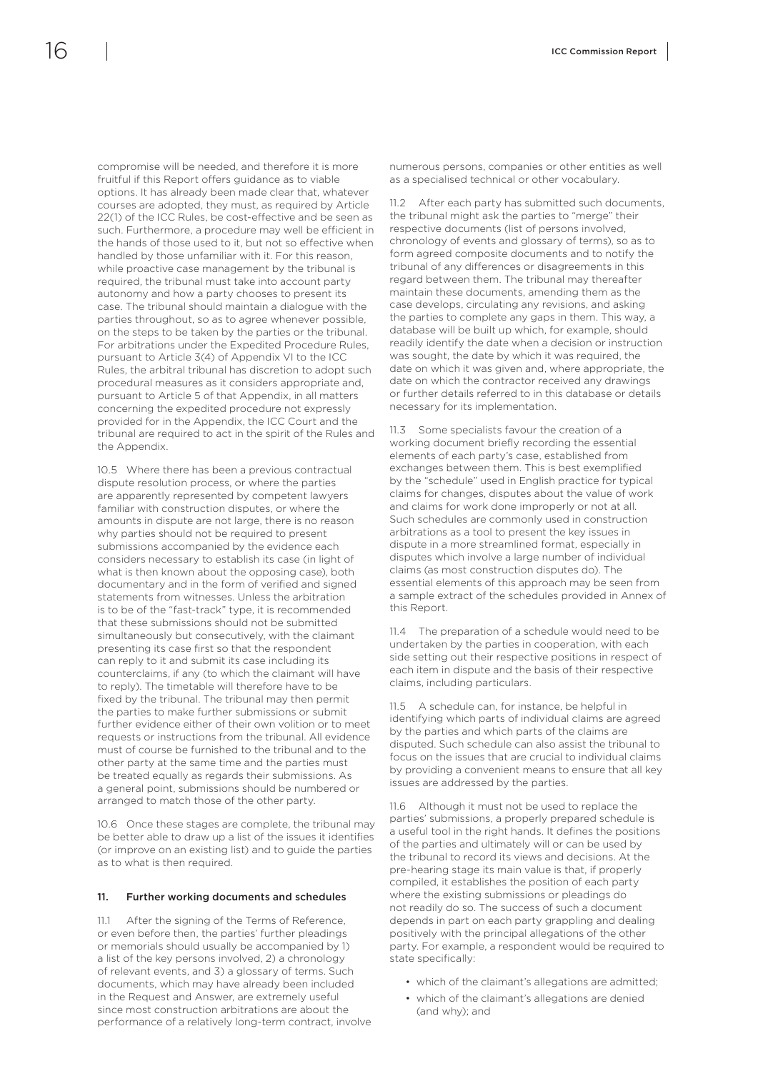<span id="page-17-0"></span>compromise will be needed, and therefore it is more fruitful if this Report offers guidance as to viable options. It has already been made clear that, whatever courses are adopted, they must, as required by Article 22(1) of the ICC Rules, be cost-effective and be seen as such. Furthermore, a procedure may well be efficient in

the hands of those used to it, but not so effective when handled by those unfamiliar with it. For this reason, while proactive case management by the tribunal is required, the tribunal must take into account party autonomy and how a party chooses to present its case. The tribunal should maintain a dialogue with the parties throughout, so as to agree whenever possible, on the steps to be taken by the parties or the tribunal. For arbitrations under the Expedited Procedure Rules, pursuant to Article 3(4) of Appendix VI to the ICC Rules, the arbitral tribunal has discretion to adopt such procedural measures as it considers appropriate and, pursuant to Article 5 of that Appendix, in all matters concerning the expedited procedure not expressly provided for in the Appendix, the ICC Court and the tribunal are required to act in the spirit of the Rules and the Appendix.

10.5 Where there has been a previous contractual dispute resolution process, or where the parties are apparently represented by competent lawyers familiar with construction disputes, or where the amounts in dispute are not large, there is no reason why parties should not be required to present submissions accompanied by the evidence each considers necessary to establish its case (in light of what is then known about the opposing case), both documentary and in the form of verified and signed statements from witnesses. Unless the arbitration is to be of the "fast-track" type, it is recommended that these submissions should not be submitted simultaneously but consecutively, with the claimant presenting its case first so that the respondent can reply to it and submit its case including its counterclaims, if any (to which the claimant will have to reply). The timetable will therefore have to be fixed by the tribunal. The tribunal may then permit the parties to make further submissions or submit further evidence either of their own volition or to meet requests or instructions from the tribunal. All evidence must of course be furnished to the tribunal and to the other party at the same time and the parties must be treated equally as regards their submissions. As a general point, submissions should be numbered or arranged to match those of the other party.

10.6 Once these stages are complete, the tribunal may be better able to draw up a list of the issues it identifies (or improve on an existing list) and to guide the parties as to what is then required.

#### 11. Further working documents and schedules

11.1 After the signing of the Terms of Reference, or even before then, the parties' further pleadings or memorials should usually be accompanied by 1) a list of the key persons involved, 2) a chronology of relevant events, and 3) a glossary of terms. Such documents, which may have already been included in the Request and Answer, are extremely useful since most construction arbitrations are about the performance of a relatively long-term contract, involve numerous persons, companies or other entities as well as a specialised technical or other vocabulary.

11.2 After each party has submitted such documents, the tribunal might ask the parties to "merge" their respective documents (list of persons involved, chronology of events and glossary of terms), so as to form agreed composite documents and to notify the tribunal of any differences or disagreements in this regard between them. The tribunal may thereafter maintain these documents, amending them as the case develops, circulating any revisions, and asking the parties to complete any gaps in them. This way, a database will be built up which, for example, should readily identify the date when a decision or instruction was sought, the date by which it was required, the date on which it was given and, where appropriate, the date on which the contractor received any drawings or further details referred to in this database or details necessary for its implementation.

11.3 Some specialists favour the creation of a working document briefly recording the essential elements of each party's case, established from exchanges between them. This is best exemplified by the "schedule" used in English practice for typical claims for changes, disputes about the value of work and claims for work done improperly or not at all. Such schedules are commonly used in construction arbitrations as a tool to present the key issues in dispute in a more streamlined format, especially in disputes which involve a large number of individual claims (as most construction disputes do). The essential elements of this approach may be seen from a sample extract of the schedules provided in Annex of this Report.

11.4 The preparation of a schedule would need to be undertaken by the parties in cooperation, with each side setting out their respective positions in respect of each item in dispute and the basis of their respective claims, including particulars.

11.5 A schedule can, for instance, be helpful in identifying which parts of individual claims are agreed by the parties and which parts of the claims are disputed. Such schedule can also assist the tribunal to focus on the issues that are crucial to individual claims by providing a convenient means to ensure that all key issues are addressed by the parties.

11.6 Although it must not be used to replace the parties' submissions, a properly prepared schedule is a useful tool in the right hands. It defines the positions of the parties and ultimately will or can be used by the tribunal to record its views and decisions. At the pre-hearing stage its main value is that, if properly compiled, it establishes the position of each party where the existing submissions or pleadings do not readily do so. The success of such a document depends in part on each party grappling and dealing positively with the principal allegations of the other party. For example, a respondent would be required to state specifically:

- which of the claimant's allegations are admitted;
- which of the claimant's allegations are denied (and why); and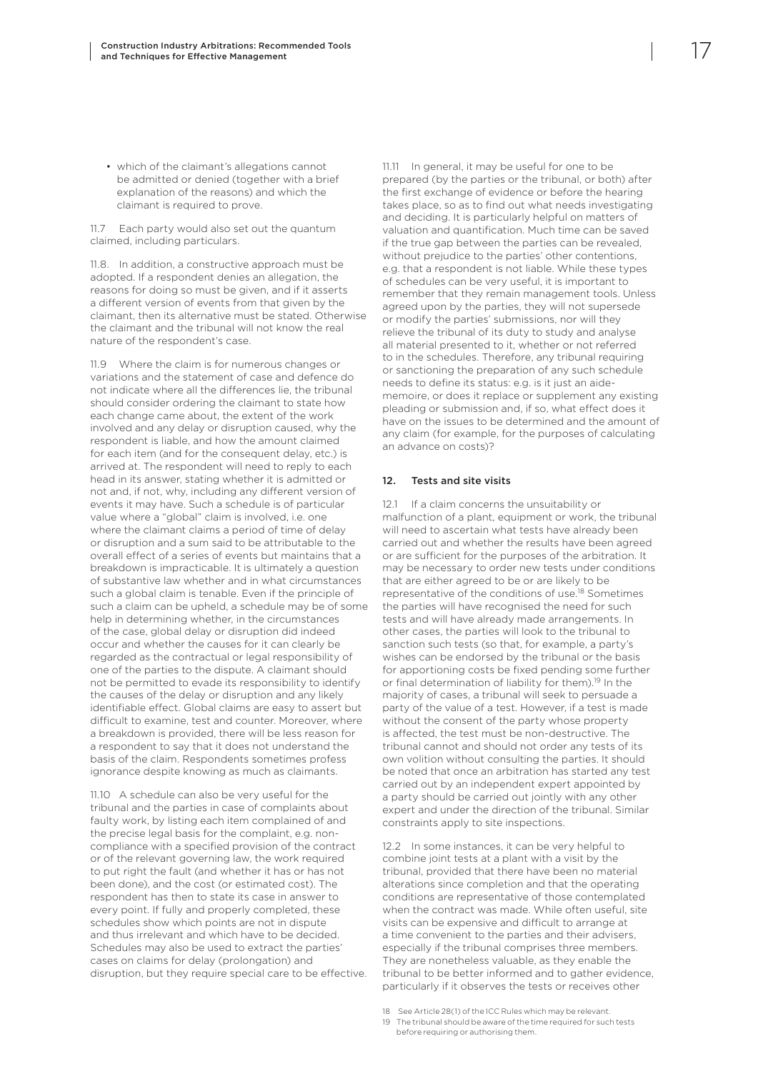<span id="page-18-0"></span>• which of the claimant's allegations cannot be admitted or denied (together with a brief explanation of the reasons) and which the claimant is required to prove.

11.7 Each party would also set out the quantum claimed, including particulars.

11.8. In addition, a constructive approach must be adopted. If a respondent denies an allegation, the reasons for doing so must be given, and if it asserts a different version of events from that given by the claimant, then its alternative must be stated. Otherwise the claimant and the tribunal will not know the real nature of the respondent's case.

11.9 Where the claim is for numerous changes or variations and the statement of case and defence do not indicate where all the differences lie, the tribunal should consider ordering the claimant to state how each change came about, the extent of the work involved and any delay or disruption caused, why the respondent is liable, and how the amount claimed for each item (and for the consequent delay, etc.) is arrived at. The respondent will need to reply to each head in its answer, stating whether it is admitted or not and, if not, why, including any different version of events it may have. Such a schedule is of particular value where a "global" claim is involved, i.e. one where the claimant claims a period of time of delay or disruption and a sum said to be attributable to the overall effect of a series of events but maintains that a breakdown is impracticable. It is ultimately a question of substantive law whether and in what circumstances such a global claim is tenable. Even if the principle of such a claim can be upheld, a schedule may be of some help in determining whether, in the circumstances of the case, global delay or disruption did indeed occur and whether the causes for it can clearly be regarded as the contractual or legal responsibility of one of the parties to the dispute. A claimant should not be permitted to evade its responsibility to identify the causes of the delay or disruption and any likely identifiable effect. Global claims are easy to assert but difficult to examine, test and counter. Moreover, where a breakdown is provided, there will be less reason for a respondent to say that it does not understand the basis of the claim. Respondents sometimes profess ignorance despite knowing as much as claimants.

11.10 A schedule can also be very useful for the tribunal and the parties in case of complaints about faulty work, by listing each item complained of and the precise legal basis for the complaint, e.g. noncompliance with a specified provision of the contract or of the relevant governing law, the work required to put right the fault (and whether it has or has not been done), and the cost (or estimated cost). The respondent has then to state its case in answer to every point. If fully and properly completed, these schedules show which points are not in dispute and thus irrelevant and which have to be decided. Schedules may also be used to extract the parties' cases on claims for delay (prolongation) and disruption, but they require special care to be effective. 11.11 In general, it may be useful for one to be prepared (by the parties or the tribunal, or both) after the first exchange of evidence or before the hearing takes place, so as to find out what needs investigating and deciding. It is particularly helpful on matters of valuation and quantification. Much time can be saved if the true gap between the parties can be revealed, without prejudice to the parties' other contentions, e.g. that a respondent is not liable. While these types of schedules can be very useful, it is important to remember that they remain management tools. Unless agreed upon by the parties, they will not supersede or modify the parties' submissions, nor will they relieve the tribunal of its duty to study and analyse all material presented to it, whether or not referred to in the schedules. Therefore, any tribunal requiring or sanctioning the preparation of any such schedule needs to define its status: e.g. is it just an aidememoire, or does it replace or supplement any existing pleading or submission and, if so, what effect does it have on the issues to be determined and the amount of any claim (for example, for the purposes of calculating an advance on costs)?

#### 12. Tests and site visits

12.1 If a claim concerns the unsuitability or malfunction of a plant, equipment or work, the tribunal will need to ascertain what tests have already been carried out and whether the results have been agreed or are sufficient for the purposes of the arbitration. It may be necessary to order new tests under conditions that are either agreed to be or are likely to be representative of the conditions of use.18 Sometimes the parties will have recognised the need for such tests and will have already made arrangements. In other cases, the parties will look to the tribunal to sanction such tests (so that, for example, a party's wishes can be endorsed by the tribunal or the basis for apportioning costs be fixed pending some further or final determination of liability for them).<sup>19</sup> In the majority of cases, a tribunal will seek to persuade a party of the value of a test. However, if a test is made without the consent of the party whose property is affected, the test must be non-destructive. The tribunal cannot and should not order any tests of its own volition without consulting the parties. It should be noted that once an arbitration has started any test carried out by an independent expert appointed by a party should be carried out jointly with any other expert and under the direction of the tribunal. Similar constraints apply to site inspections.

12.2 In some instances, it can be very helpful to combine joint tests at a plant with a visit by the tribunal, provided that there have been no material alterations since completion and that the operating conditions are representative of those contemplated when the contract was made. While often useful, site visits can be expensive and difficult to arrange at a time convenient to the parties and their advisers, especially if the tribunal comprises three members. They are nonetheless valuable, as they enable the tribunal to be better informed and to gather evidence, particularly if it observes the tests or receives other

- 18 See Article 28(1) of the ICC Rules which may be relevant.
- 19 The tribunal should be aware of the time required for such tests before requiring or authorising them.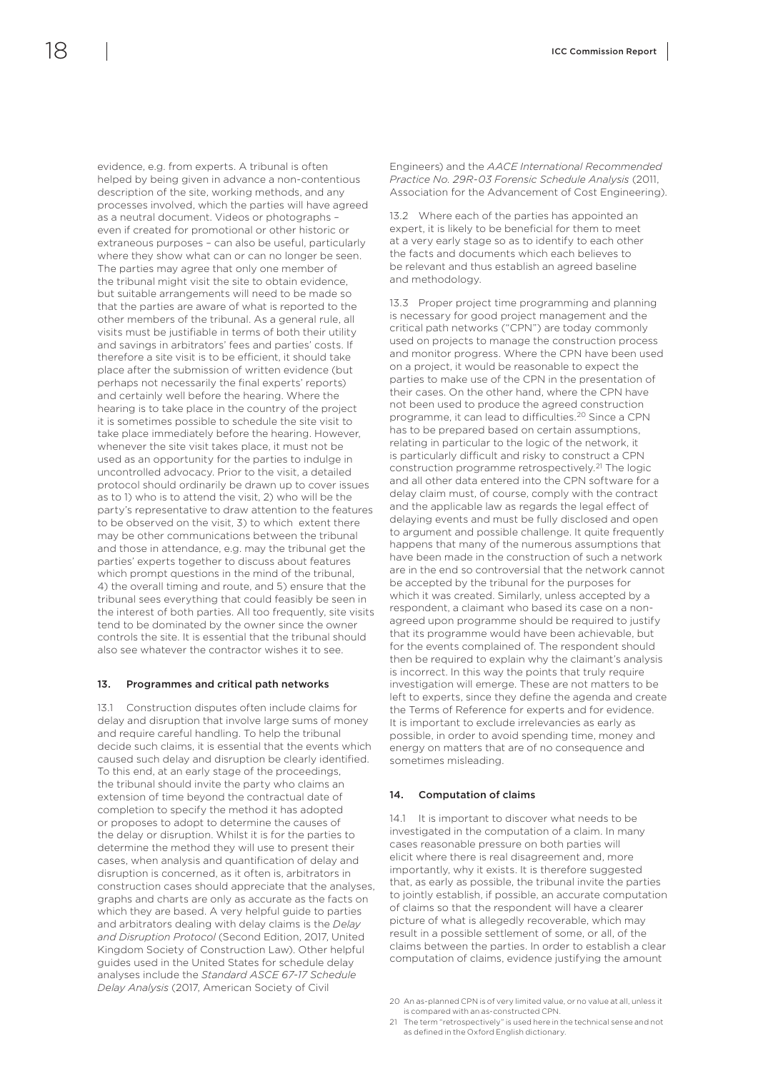<span id="page-19-0"></span>

evidence, e.g. from experts. A tribunal is often helped by being given in advance a non-contentious description of the site, working methods, and any processes involved, which the parties will have agreed as a neutral document. Videos or photographs – even if created for promotional or other historic or extraneous purposes – can also be useful, particularly where they show what can or can no longer be seen. The parties may agree that only one member of the tribunal might visit the site to obtain evidence, but suitable arrangements will need to be made so that the parties are aware of what is reported to the other members of the tribunal. As a general rule, all visits must be justifiable in terms of both their utility and savings in arbitrators' fees and parties' costs. If therefore a site visit is to be efficient, it should take place after the submission of written evidence (but perhaps not necessarily the final experts' reports) and certainly well before the hearing. Where the hearing is to take place in the country of the project it is sometimes possible to schedule the site visit to take place immediately before the hearing. However, whenever the site visit takes place, it must not be used as an opportunity for the parties to indulge in uncontrolled advocacy. Prior to the visit, a detailed protocol should ordinarily be drawn up to cover issues as to 1) who is to attend the visit, 2) who will be the party's representative to draw attention to the features to be observed on the visit, 3) to which extent there may be other communications between the tribunal and those in attendance, e.g. may the tribunal get the parties' experts together to discuss about features which prompt questions in the mind of the tribunal, 4) the overall timing and route, and 5) ensure that the tribunal sees everything that could feasibly be seen in the interest of both parties. All too frequently, site visits tend to be dominated by the owner since the owner controls the site. It is essential that the tribunal should also see whatever the contractor wishes it to see.

#### 13. Programmes and critical path networks

13.1 Construction disputes often include claims for delay and disruption that involve large sums of money and require careful handling. To help the tribunal decide such claims, it is essential that the events which caused such delay and disruption be clearly identified. To this end, at an early stage of the proceedings, the tribunal should invite the party who claims an extension of time beyond the contractual date of completion to specify the method it has adopted or proposes to adopt to determine the causes of the delay or disruption. Whilst it is for the parties to determine the method they will use to present their cases, when analysis and quantification of delay and disruption is concerned, as it often is, arbitrators in construction cases should appreciate that the analyses, graphs and charts are only as accurate as the facts on which they are based. A very helpful guide to parties and arbitrators dealing with delay claims is the *Delay and Disruption Protocol* (Second Edition, 2017, United Kingdom Society of Construction Law). Other helpful guides used in the United States for schedule delay analyses include the *Standard ASCE 67-17 Schedule Delay Analysis* (2017, American Society of Civil

Engineers) and the *AACE International Recommended Practice No. 29R-03 Forensic Schedule Analysis* (2011, Association for the Advancement of Cost Engineering).

13.2 Where each of the parties has appointed an expert, it is likely to be beneficial for them to meet at a very early stage so as to identify to each other the facts and documents which each believes to be relevant and thus establish an agreed baseline and methodology.

13.3 Proper project time programming and planning is necessary for good project management and the critical path networks ("CPN") are today commonly used on projects to manage the construction process and monitor progress. Where the CPN have been used on a project, it would be reasonable to expect the parties to make use of the CPN in the presentation of their cases. On the other hand, where the CPN have not been used to produce the agreed construction programme, it can lead to difficulties.20 Since a CPN has to be prepared based on certain assumptions, relating in particular to the logic of the network, it is particularly difficult and risky to construct a CPN construction programme retrospectively.<sup>21</sup> The logic and all other data entered into the CPN software for a delay claim must, of course, comply with the contract and the applicable law as regards the legal effect of delaying events and must be fully disclosed and open to argument and possible challenge. It quite frequently happens that many of the numerous assumptions that have been made in the construction of such a network are in the end so controversial that the network cannot be accepted by the tribunal for the purposes for which it was created. Similarly, unless accepted by a respondent, a claimant who based its case on a nonagreed upon programme should be required to justify that its programme would have been achievable, but for the events complained of. The respondent should then be required to explain why the claimant's analysis is incorrect. In this way the points that truly require investigation will emerge. These are not matters to be left to experts, since they define the agenda and create the Terms of Reference for experts and for evidence. It is important to exclude irrelevancies as early as possible, in order to avoid spending time, money and energy on matters that are of no consequence and sometimes misleading.

#### 14. Computation of claims

14.1 It is important to discover what needs to be investigated in the computation of a claim. In many cases reasonable pressure on both parties will elicit where there is real disagreement and, more importantly, why it exists. It is therefore suggested that, as early as possible, the tribunal invite the parties to jointly establish, if possible, an accurate computation of claims so that the respondent will have a clearer picture of what is allegedly recoverable, which may result in a possible settlement of some, or all, of the claims between the parties. In order to establish a clear computation of claims, evidence justifying the amount

<sup>20</sup> An as-planned CPN is of very limited value, or no value at all, unless it is compared with an as-constructed CPN.

<sup>21</sup> The term "retrospectively" is used here in the technical sense and not as defined in the Oxford English dictionary.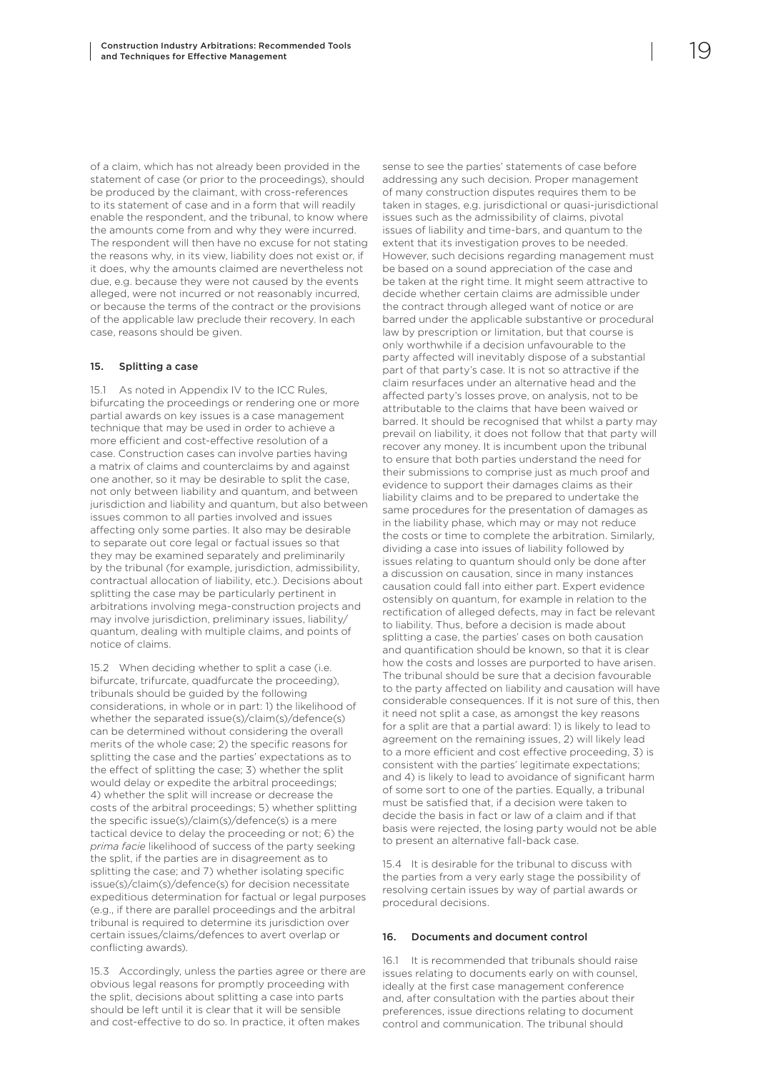<span id="page-20-0"></span>of a claim, which has not already been provided in the statement of case (or prior to the proceedings), should be produced by the claimant, with cross-references to its statement of case and in a form that will readily enable the respondent, and the tribunal, to know where the amounts come from and why they were incurred. The respondent will then have no excuse for not stating the reasons why, in its view, liability does not exist or, if it does, why the amounts claimed are nevertheless not due, e.g. because they were not caused by the events alleged, were not incurred or not reasonably incurred, or because the terms of the contract or the provisions of the applicable law preclude their recovery. In each case, reasons should be given.

#### 15. Splitting a case

15.1 As noted in Appendix IV to the ICC Rules, bifurcating the proceedings or rendering one or more partial awards on key issues is a case management technique that may be used in order to achieve a more efficient and cost-effective resolution of a case. Construction cases can involve parties having a matrix of claims and counterclaims by and against one another, so it may be desirable to split the case, not only between liability and quantum, and between jurisdiction and liability and quantum, but also between issues common to all parties involved and issues affecting only some parties. It also may be desirable to separate out core legal or factual issues so that they may be examined separately and preliminarily by the tribunal (for example, jurisdiction, admissibility, contractual allocation of liability, etc.). Decisions about splitting the case may be particularly pertinent in arbitrations involving mega-construction projects and may involve jurisdiction, preliminary issues, liability/ quantum, dealing with multiple claims, and points of notice of claims.

15.2 When deciding whether to split a case (i.e. bifurcate, trifurcate, quadfurcate the proceeding), tribunals should be guided by the following considerations, in whole or in part: 1) the likelihood of whether the separated issue(s)/claim(s)/defence(s) can be determined without considering the overall merits of the whole case; 2) the specific reasons for splitting the case and the parties' expectations as to the effect of splitting the case; 3) whether the split would delay or expedite the arbitral proceedings; 4) whether the split will increase or decrease the costs of the arbitral proceedings; 5) whether splitting the specific issue(s)/claim(s)/defence(s) is a mere tactical device to delay the proceeding or not; 6) the *prima facie* likelihood of success of the party seeking the split, if the parties are in disagreement as to splitting the case; and 7) whether isolating specific issue(s)/claim(s)/defence(s) for decision necessitate expeditious determination for factual or legal purposes (e.g., if there are parallel proceedings and the arbitral tribunal is required to determine its jurisdiction over certain issues/claims/defences to avert overlap or conflicting awards).

15.3 Accordingly, unless the parties agree or there are obvious legal reasons for promptly proceeding with the split, decisions about splitting a case into parts should be left until it is clear that it will be sensible and cost-effective to do so. In practice, it often makes

sense to see the parties' statements of case before addressing any such decision. Proper management of many construction disputes requires them to be taken in stages, e.g. jurisdictional or quasi-jurisdictional issues such as the admissibility of claims, pivotal issues of liability and time-bars, and quantum to the extent that its investigation proves to be needed. However, such decisions regarding management must be based on a sound appreciation of the case and be taken at the right time. It might seem attractive to decide whether certain claims are admissible under the contract through alleged want of notice or are barred under the applicable substantive or procedural law by prescription or limitation, but that course is only worthwhile if a decision unfavourable to the party affected will inevitably dispose of a substantial part of that party's case. It is not so attractive if the claim resurfaces under an alternative head and the affected party's losses prove, on analysis, not to be attributable to the claims that have been waived or barred. It should be recognised that whilst a party may prevail on liability, it does not follow that that party will recover any money. It is incumbent upon the tribunal to ensure that both parties understand the need for their submissions to comprise just as much proof and evidence to support their damages claims as their liability claims and to be prepared to undertake the same procedures for the presentation of damages as in the liability phase, which may or may not reduce the costs or time to complete the arbitration. Similarly, dividing a case into issues of liability followed by issues relating to quantum should only be done after a discussion on causation, since in many instances causation could fall into either part. Expert evidence ostensibly on quantum, for example in relation to the rectification of alleged defects, may in fact be relevant to liability. Thus, before a decision is made about splitting a case, the parties' cases on both causation and quantification should be known, so that it is clear how the costs and losses are purported to have arisen. The tribunal should be sure that a decision favourable to the party affected on liability and causation will have considerable consequences. If it is not sure of this, then it need not split a case, as amongst the key reasons for a split are that a partial award: 1) is likely to lead to agreement on the remaining issues, 2) will likely lead to a more efficient and cost effective proceeding, 3) is consistent with the parties' legitimate expectations; and 4) is likely to lead to avoidance of significant harm of some sort to one of the parties. Equally, a tribunal must be satisfied that, if a decision were taken to decide the basis in fact or law of a claim and if that basis were rejected, the losing party would not be able to present an alternative fall-back case.

15.4 It is desirable for the tribunal to discuss with the parties from a very early stage the possibility of resolving certain issues by way of partial awards or procedural decisions.

#### 16. Documents and document control

16.1 It is recommended that tribunals should raise issues relating to documents early on with counsel, ideally at the first case management conference and, after consultation with the parties about their preferences, issue directions relating to document control and communication. The tribunal should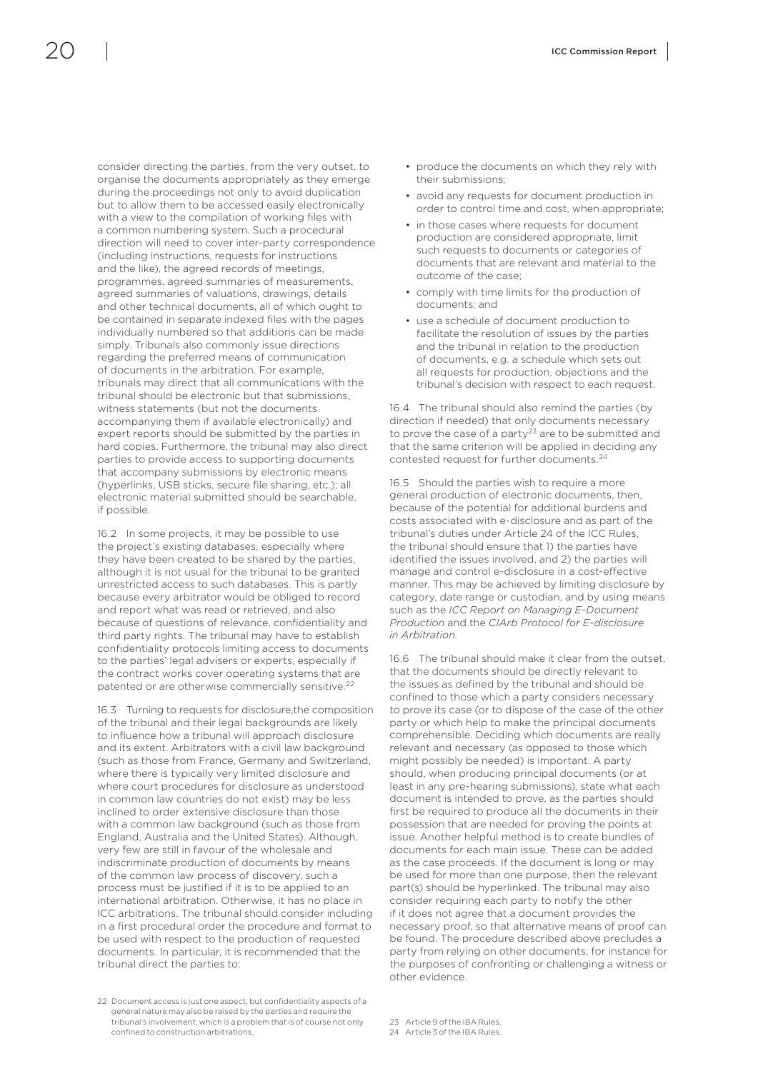consider directing the parties, from the very outset, to organise the documents appropriately as they emerge during the proceedings not only to avoid duplication but to allow them to be accessed easily electronically with a view to the compilation of working files with a common numbering system. Such a procedural direction will need to cover inter-party correspondence (including instructions, requests for instructions and the like), the agreed records of meetings, programmes, agreed summaries of measurements, agreed summaries of valuations, drawings, details and other technical documents, all of which ought to be contained in separate indexed files with the pages individually numbered so that additions can be made simply. Tribunals also commonly issue directions regarding the preferred means of communication of documents in the arbitration. For example, tribunals may direct that all communications with the tribunal should be electronic but that submissions, witness statements (but not the documents accompanying them if available electronically) and expert reports should be submitted by the parties in hard copies. Furthermore, the tribunal may also direct parties to provide access to supporting documents that accompany submissions by electronic means (hyperlinks, USB sticks, secure file sharing, etc.); all electronic material submitted should be searchable, if possible.

16.2 In some projects, it may be possible to use the project's existing databases, especially where they have been created to be shared by the parties, although it is not usual for the tribunal to be granted unrestricted access to such databases. This is partly because every arbitrator would be obliged to record and report what was read or retrieved, and also because of questions of relevance, confidentiality and third party rights. The tribunal may have to establish confidentiality protocols limiting access to documents to the parties' legal advisers or experts, especially if the contract works cover operating systems that are patented or are otherwise commercially sensitive.22

16.3 Turning to requests for disclosure,the composition of the tribunal and their legal backgrounds are likely to influence how a tribunal will approach disclosure and its extent. Arbitrators with a civil law background (such as those from France, Germany and Switzerland, where there is typically very limited disclosure and where court procedures for disclosure as understood in common law countries do not exist) may be less inclined to order extensive disclosure than those with a common law background (such as those from England, Australia and the United States). Although, very few are still in favour of the wholesale and indiscriminate production of documents by means of the common law process of discovery, such a process must be justified if it is to be applied to an international arbitration. Otherwise, it has no place in ICC arbitrations. The tribunal should consider including in a first procedural order the procedure and format to be used with respect to the production of requested documents. In particular, it is recommended that the tribunal direct the parties to:

22 Document access is just one aspect, but confidentiality aspects of a general nature may also be raised by the parties and require the tribunal's involvement, which is a problem that is of course not only confined to construction arbitrations.

- produce the documents on which they rely with their submissions;
- avoid any requests for document production in order to control time and cost, when appropriate;
- in those cases where requests for document production are considered appropriate, limit such requests to documents or categories of documents that are relevant and material to the outcome of the case;
- comply with time limits for the production of documents; and
- use a schedule of document production to facilitate the resolution of issues by the parties and the tribunal in relation to the production of documents, e.g. a schedule which sets out all requests for production, objections and the tribunal's decision with respect to each request.

16.4 The tribunal should also remind the parties (by direction if needed) that only documents necessary to prove the case of a party<sup>23</sup> are to be submitted and that the same criterion will be applied in deciding any contested request for further documents.24

16.5 Should the parties wish to require a more general production of electronic documents, then, because of the potential for additional burdens and costs associated with e-disclosure and as part of the tribunal's duties under Article 24 of the ICC Rules, the tribunal should ensure that 1) the parties have identified the issues involved, and 2) the parties will manage and control e-disclosure in a cost-effective manner. This may be achieved by limiting disclosure by category, date range or custodian, and by using means such as the *ICC Report on Managing E-Document Production* and the *CIArb Protocol for E-disclosure in Arbitration*.

16.6 The tribunal should make it clear from the outset, that the documents should be directly relevant to the issues as defined by the tribunal and should be confined to those which a party considers necessary to prove its case (or to dispose of the case of the other party or which help to make the principal documents comprehensible. Deciding which documents are really relevant and necessary (as opposed to those which might possibly be needed) is important. A party should, when producing principal documents (or at least in any pre-hearing submissions), state what each document is intended to prove, as the parties should first be required to produce all the documents in their possession that are needed for proving the points at issue. Another helpful method is to create bundles of documents for each main issue. These can be added as the case proceeds. If the document is long or may be used for more than one purpose, then the relevant part(s) should be hyperlinked. The tribunal may also consider requiring each party to notify the other if it does not agree that a document provides the necessary proof, so that alternative means of proof can be found. The procedure described above precludes a party from relying on other documents, for instance for the purposes of confronting or challenging a witness or other evidence.

<sup>23</sup> Article 9 of the IBA Rules.

<sup>24</sup> Article 3 of the IBA Rules.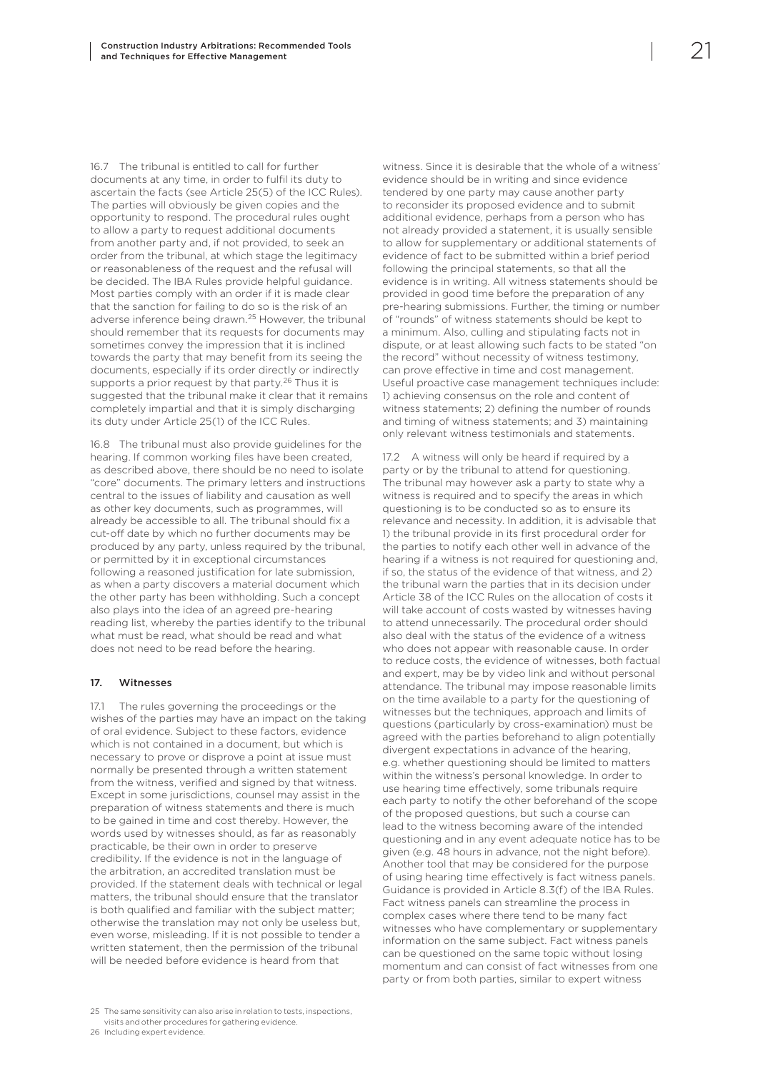<span id="page-22-0"></span>16.7 The tribunal is entitled to call for further documents at any time, in order to fulfil its duty to ascertain the facts (see Article 25(5) of the ICC Rules). The parties will obviously be given copies and the opportunity to respond. The procedural rules ought to allow a party to request additional documents from another party and, if not provided, to seek an order from the tribunal, at which stage the legitimacy or reasonableness of the request and the refusal will be decided. The IBA Rules provide helpful guidance. Most parties comply with an order if it is made clear that the sanction for failing to do so is the risk of an adverse inference being drawn.25 However, the tribunal should remember that its requests for documents may sometimes convey the impression that it is inclined towards the party that may benefit from its seeing the documents, especially if its order directly or indirectly supports a prior request by that party.<sup>26</sup> Thus it is suggested that the tribunal make it clear that it remains completely impartial and that it is simply discharging its duty under Article 25(1) of the ICC Rules.

16.8 The tribunal must also provide guidelines for the hearing. If common working files have been created, as described above, there should be no need to isolate "core" documents. The primary letters and instructions central to the issues of liability and causation as well as other key documents, such as programmes, will already be accessible to all. The tribunal should fix a cut-off date by which no further documents may be produced by any party, unless required by the tribunal, or permitted by it in exceptional circumstances following a reasoned justification for late submission, as when a party discovers a material document which the other party has been withholding. Such a concept also plays into the idea of an agreed pre-hearing reading list, whereby the parties identify to the tribunal what must be read, what should be read and what does not need to be read before the hearing.

#### 17. Witnesses

17.1 The rules governing the proceedings or the wishes of the parties may have an impact on the taking of oral evidence. Subject to these factors, evidence which is not contained in a document, but which is necessary to prove or disprove a point at issue must normally be presented through a written statement from the witness, verified and signed by that witness. Except in some jurisdictions, counsel may assist in the preparation of witness statements and there is much to be gained in time and cost thereby. However, the words used by witnesses should, as far as reasonably practicable, be their own in order to preserve credibility. If the evidence is not in the language of the arbitration, an accredited translation must be provided. If the statement deals with technical or legal matters, the tribunal should ensure that the translator is both qualified and familiar with the subject matter; otherwise the translation may not only be useless but, even worse, misleading. If it is not possible to tender a written statement, then the permission of the tribunal will be needed before evidence is heard from that

25 The same sensitivity can also arise in relation to tests, inspections, visits and other procedures for gathering evidence. 26 Including expert evidence.

witness. Since it is desirable that the whole of a witness' evidence should be in writing and since evidence tendered by one party may cause another party to reconsider its proposed evidence and to submit additional evidence, perhaps from a person who has not already provided a statement, it is usually sensible to allow for supplementary or additional statements of evidence of fact to be submitted within a brief period following the principal statements, so that all the evidence is in writing. All witness statements should be provided in good time before the preparation of any pre-hearing submissions. Further, the timing or number of "rounds" of witness statements should be kept to a minimum. Also, culling and stipulating facts not in dispute, or at least allowing such facts to be stated "on the record" without necessity of witness testimony, can prove effective in time and cost management. Useful proactive case management techniques include: 1) achieving consensus on the role and content of witness statements; 2) defining the number of rounds and timing of witness statements; and 3) maintaining only relevant witness testimonials and statements.

17.2 A witness will only be heard if required by a party or by the tribunal to attend for questioning. The tribunal may however ask a party to state why a witness is required and to specify the areas in which questioning is to be conducted so as to ensure its relevance and necessity. In addition, it is advisable that 1) the tribunal provide in its first procedural order for the parties to notify each other well in advance of the hearing if a witness is not required for questioning and, if so, the status of the evidence of that witness, and 2) the tribunal warn the parties that in its decision under Article 38 of the ICC Rules on the allocation of costs it will take account of costs wasted by witnesses having to attend unnecessarily. The procedural order should also deal with the status of the evidence of a witness who does not appear with reasonable cause. In order to reduce costs, the evidence of witnesses, both factual and expert, may be by video link and without personal attendance. The tribunal may impose reasonable limits on the time available to a party for the questioning of witnesses but the techniques, approach and limits of questions (particularly by cross-examination) must be agreed with the parties beforehand to align potentially divergent expectations in advance of the hearing, e.g. whether questioning should be limited to matters within the witness's personal knowledge. In order to use hearing time effectively, some tribunals require each party to notify the other beforehand of the scope of the proposed questions, but such a course can lead to the witness becoming aware of the intended questioning and in any event adequate notice has to be given (e.g. 48 hours in advance, not the night before). Another tool that may be considered for the purpose of using hearing time effectively is fact witness panels. Guidance is provided in Article 8.3(f) of the IBA Rules. Fact witness panels can streamline the process in complex cases where there tend to be many fact witnesses who have complementary or supplementary information on the same subject. Fact witness panels can be questioned on the same topic without losing momentum and can consist of fact witnesses from one party or from both parties, similar to expert witness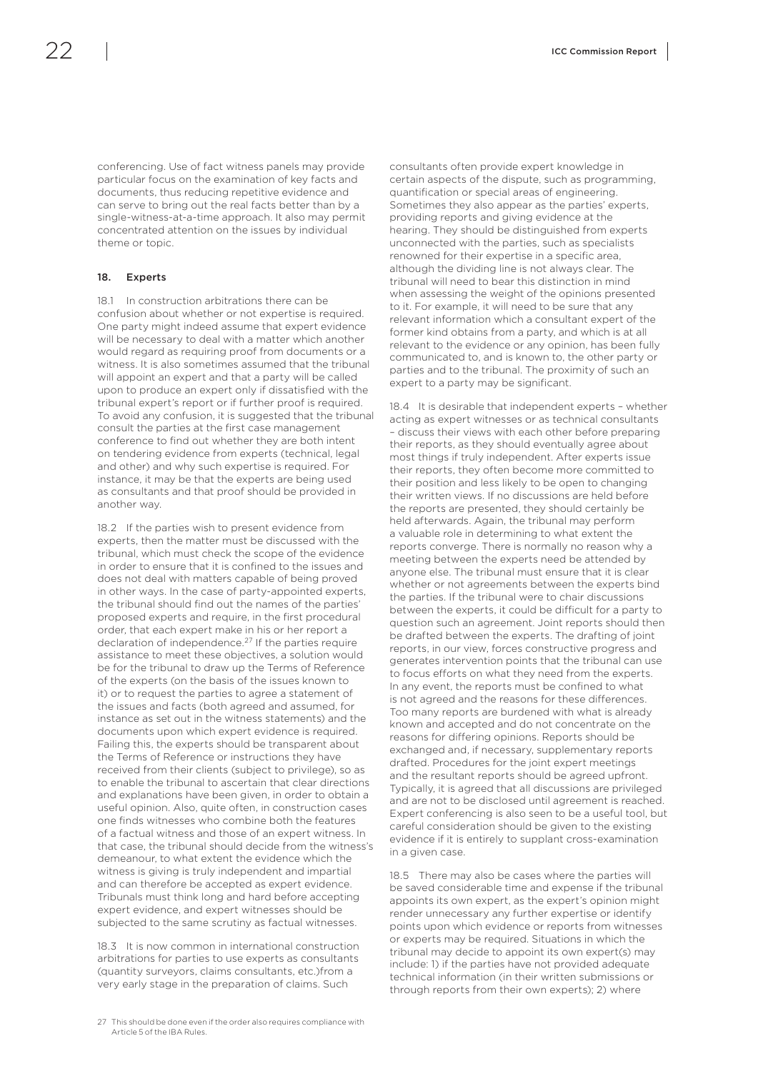<span id="page-23-0"></span>conferencing. Use of fact witness panels may provide particular focus on the examination of key facts and documents, thus reducing repetitive evidence and can serve to bring out the real facts better than by a single-witness-at-a-time approach. It also may permit concentrated attention on the issues by individual theme or topic.

#### 18. Experts

18.1 In construction arbitrations there can be confusion about whether or not expertise is required. One party might indeed assume that expert evidence will be necessary to deal with a matter which another would regard as requiring proof from documents or a witness. It is also sometimes assumed that the tribunal will appoint an expert and that a party will be called upon to produce an expert only if dissatisfied with the tribunal expert's report or if further proof is required. To avoid any confusion, it is suggested that the tribunal consult the parties at the first case management conference to find out whether they are both intent on tendering evidence from experts (technical, legal and other) and why such expertise is required. For instance, it may be that the experts are being used as consultants and that proof should be provided in another way.

18.2 If the parties wish to present evidence from experts, then the matter must be discussed with the tribunal, which must check the scope of the evidence in order to ensure that it is confined to the issues and does not deal with matters capable of being proved in other ways. In the case of party-appointed experts, the tribunal should find out the names of the parties' proposed experts and require, in the first procedural order, that each expert make in his or her report a declaration of independence.27 If the parties require assistance to meet these objectives, a solution would be for the tribunal to draw up the Terms of Reference of the experts (on the basis of the issues known to it) or to request the parties to agree a statement of the issues and facts (both agreed and assumed, for instance as set out in the witness statements) and the documents upon which expert evidence is required. Failing this, the experts should be transparent about the Terms of Reference or instructions they have received from their clients (subject to privilege), so as to enable the tribunal to ascertain that clear directions and explanations have been given, in order to obtain a useful opinion. Also, quite often, in construction cases one finds witnesses who combine both the features of a factual witness and those of an expert witness. In that case, the tribunal should decide from the witness's demeanour, to what extent the evidence which the witness is giving is truly independent and impartial and can therefore be accepted as expert evidence. Tribunals must think long and hard before accepting expert evidence, and expert witnesses should be subjected to the same scrutiny as factual witnesses.

18.3 It is now common in international construction arbitrations for parties to use experts as consultants (quantity surveyors, claims consultants, etc.)from a very early stage in the preparation of claims. Such

27 This should be done even if the order also requires compliance with Article 5 of the IBA Rules.

consultants often provide expert knowledge in certain aspects of the dispute, such as programming, quantification or special areas of engineering. Sometimes they also appear as the parties' experts, providing reports and giving evidence at the hearing. They should be distinguished from experts unconnected with the parties, such as specialists renowned for their expertise in a specific area, although the dividing line is not always clear. The tribunal will need to bear this distinction in mind when assessing the weight of the opinions presented to it. For example, it will need to be sure that any relevant information which a consultant expert of the former kind obtains from a party, and which is at all relevant to the evidence or any opinion, has been fully communicated to, and is known to, the other party or parties and to the tribunal. The proximity of such an expert to a party may be significant.

18.4 It is desirable that independent experts – whether acting as expert witnesses or as technical consultants – discuss their views with each other before preparing their reports, as they should eventually agree about most things if truly independent. After experts issue their reports, they often become more committed to their position and less likely to be open to changing their written views. If no discussions are held before the reports are presented, they should certainly be held afterwards. Again, the tribunal may perform a valuable role in determining to what extent the reports converge. There is normally no reason why a meeting between the experts need be attended by anyone else. The tribunal must ensure that it is clear whether or not agreements between the experts bind the parties. If the tribunal were to chair discussions between the experts, it could be difficult for a party to question such an agreement. Joint reports should then be drafted between the experts. The drafting of joint reports, in our view, forces constructive progress and generates intervention points that the tribunal can use to focus efforts on what they need from the experts. In any event, the reports must be confined to what is not agreed and the reasons for these differences. Too many reports are burdened with what is already known and accepted and do not concentrate on the reasons for differing opinions. Reports should be exchanged and, if necessary, supplementary reports drafted. Procedures for the joint expert meetings and the resultant reports should be agreed upfront. Typically, it is agreed that all discussions are privileged and are not to be disclosed until agreement is reached. Expert conferencing is also seen to be a useful tool, but careful consideration should be given to the existing evidence if it is entirely to supplant cross-examination in a given case.

18.5 There may also be cases where the parties will be saved considerable time and expense if the tribunal appoints its own expert, as the expert's opinion might render unnecessary any further expertise or identify points upon which evidence or reports from witnesses or experts may be required. Situations in which the tribunal may decide to appoint its own expert(s) may include: 1) if the parties have not provided adequate technical information (in their written submissions or through reports from their own experts); 2) where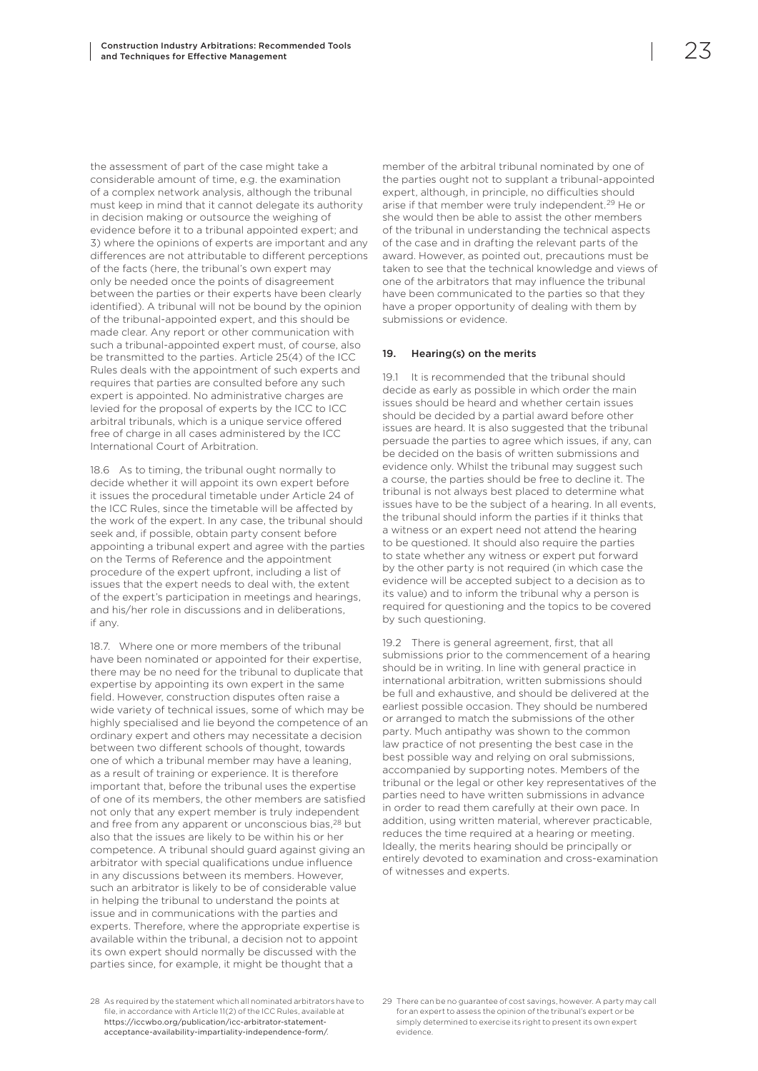<span id="page-24-0"></span>the assessment of part of the case might take a considerable amount of time, e.g. the examination of a complex network analysis, although the tribunal must keep in mind that it cannot delegate its authority in decision making or outsource the weighing of evidence before it to a tribunal appointed expert; and 3) where the opinions of experts are important and any differences are not attributable to different perceptions of the facts (here, the tribunal's own expert may only be needed once the points of disagreement between the parties or their experts have been clearly identified). A tribunal will not be bound by the opinion of the tribunal-appointed expert, and this should be made clear. Any report or other communication with such a tribunal-appointed expert must, of course, also be transmitted to the parties. Article 25(4) of the ICC Rules deals with the appointment of such experts and requires that parties are consulted before any such expert is appointed. No administrative charges are levied for the proposal of experts by the ICC to ICC arbitral tribunals, which is a unique service offered free of charge in all cases administered by the ICC International Court of Arbitration.

18.6 As to timing, the tribunal ought normally to decide whether it will appoint its own expert before it issues the procedural timetable under Article 24 of the ICC Rules, since the timetable will be affected by the work of the expert. In any case, the tribunal should seek and, if possible, obtain party consent before appointing a tribunal expert and agree with the parties on the Terms of Reference and the appointment procedure of the expert upfront, including a list of issues that the expert needs to deal with, the extent of the expert's participation in meetings and hearings, and his/her role in discussions and in deliberations, if any.

18.7. Where one or more members of the tribunal have been nominated or appointed for their expertise, there may be no need for the tribunal to duplicate that expertise by appointing its own expert in the same field. However, construction disputes often raise a wide variety of technical issues, some of which may be highly specialised and lie beyond the competence of an ordinary expert and others may necessitate a decision between two different schools of thought, towards one of which a tribunal member may have a leaning, as a result of training or experience. It is therefore important that, before the tribunal uses the expertise of one of its members, the other members are satisfied not only that any expert member is truly independent and free from any apparent or unconscious bias,<sup>28</sup> but also that the issues are likely to be within his or her competence. A tribunal should guard against giving an arbitrator with special qualifications undue influence in any discussions between its members. However, such an arbitrator is likely to be of considerable value in helping the tribunal to understand the points at issue and in communications with the parties and experts. Therefore, where the appropriate expertise is available within the tribunal, a decision not to appoint its own expert should normally be discussed with the parties since, for example, it might be thought that a

member of the arbitral tribunal nominated by one of the parties ought not to supplant a tribunal-appointed expert, although, in principle, no difficulties should arise if that member were truly independent.29 He or she would then be able to assist the other members of the tribunal in understanding the technical aspects of the case and in drafting the relevant parts of the award. However, as pointed out, precautions must be taken to see that the technical knowledge and views of one of the arbitrators that may influence the tribunal have been communicated to the parties so that they have a proper opportunity of dealing with them by submissions or evidence.

### 19. Hearing(s) on the merits

19.1 It is recommended that the tribunal should decide as early as possible in which order the main issues should be heard and whether certain issues should be decided by a partial award before other issues are heard. It is also suggested that the tribunal persuade the parties to agree which issues, if any, can be decided on the basis of written submissions and evidence only. Whilst the tribunal may suggest such a course, the parties should be free to decline it. The tribunal is not always best placed to determine what issues have to be the subject of a hearing. In all events, the tribunal should inform the parties if it thinks that a witness or an expert need not attend the hearing to be questioned. It should also require the parties to state whether any witness or expert put forward by the other party is not required (in which case the evidence will be accepted subject to a decision as to its value) and to inform the tribunal why a person is required for questioning and the topics to be covered by such questioning.

19.2 There is general agreement, first, that all submissions prior to the commencement of a hearing should be in writing. In line with general practice in international arbitration, written submissions should be full and exhaustive, and should be delivered at the earliest possible occasion. They should be numbered or arranged to match the submissions of the other party. Much antipathy was shown to the common law practice of not presenting the best case in the best possible way and relying on oral submissions, accompanied by supporting notes. Members of the tribunal or the legal or other key representatives of the parties need to have written submissions in advance in order to read them carefully at their own pace. In addition, using written material, wherever practicable, reduces the time required at a hearing or meeting. Ideally, the merits hearing should be principally or entirely devoted to examination and cross-examination of witnesses and experts.

<sup>28</sup> As required by the statement which all nominated arbitrators have to file, in accordance with Article 11(2) of the ICC Rules, available at https://iccwbo.org/publication/icc-arbitrator-statementacceptance-availability-impartiality-independence-form/.

<sup>29</sup> There can be no guarantee of cost savings, however. A party may call for an expert to assess the opinion of the tribunal's expert or be simply determined to exercise its right to present its own expert evidence.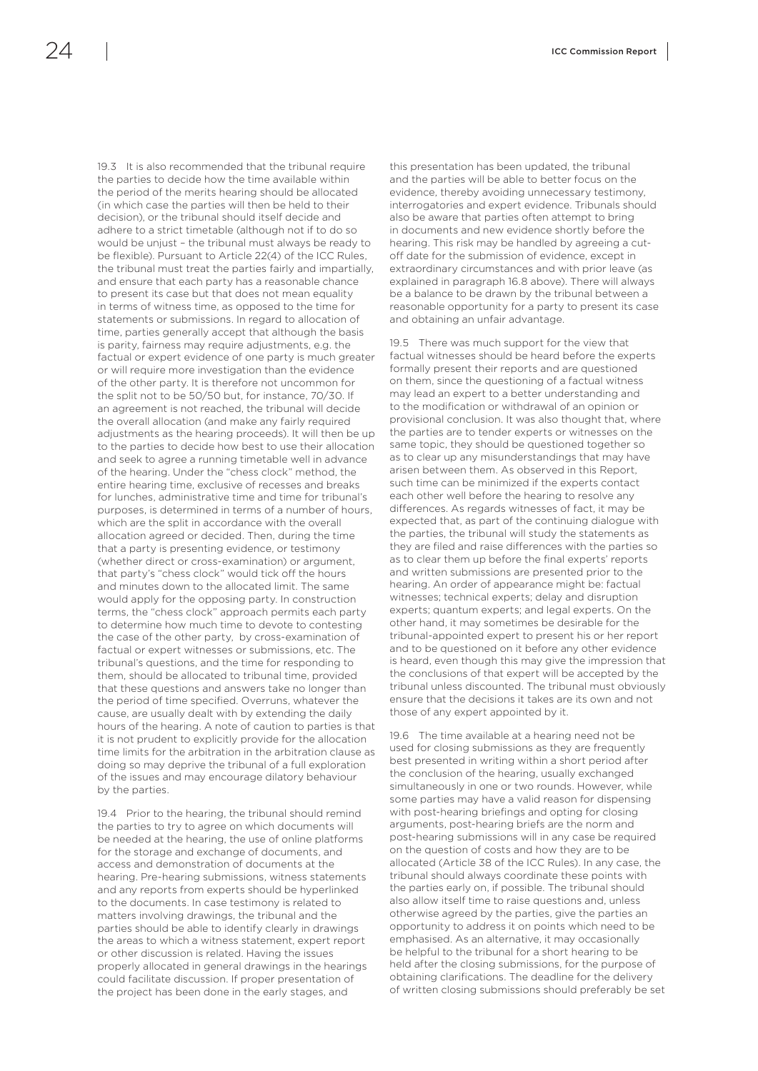the parties to decide how the time available within the period of the merits hearing should be allocated (in which case the parties will then be held to their decision), or the tribunal should itself decide and adhere to a strict timetable (although not if to do so would be unjust – the tribunal must always be ready to be flexible). Pursuant to Article 22(4) of the ICC Rules, the tribunal must treat the parties fairly and impartially, and ensure that each party has a reasonable chance to present its case but that does not mean equality in terms of witness time, as opposed to the time for statements or submissions. In regard to allocation of time, parties generally accept that although the basis is parity, fairness may require adjustments, e.g. the factual or expert evidence of one party is much greater or will require more investigation than the evidence of the other party. It is therefore not uncommon for the split not to be 50/50 but, for instance, 70/30. If an agreement is not reached, the tribunal will decide the overall allocation (and make any fairly required adjustments as the hearing proceeds). It will then be up to the parties to decide how best to use their allocation and seek to agree a running timetable well in advance of the hearing. Under the "chess clock" method, the entire hearing time, exclusive of recesses and breaks for lunches, administrative time and time for tribunal's purposes, is determined in terms of a number of hours, which are the split in accordance with the overall allocation agreed or decided. Then, during the time that a party is presenting evidence, or testimony (whether direct or cross-examination) or argument, that party's "chess clock" would tick off the hours and minutes down to the allocated limit. The same would apply for the opposing party. In construction terms, the "chess clock" approach permits each party to determine how much time to devote to contesting the case of the other party, by cross-examination of factual or expert witnesses or submissions, etc. The tribunal's questions, and the time for responding to them, should be allocated to tribunal time, provided that these questions and answers take no longer than the period of time specified. Overruns, whatever the cause, are usually dealt with by extending the daily hours of the hearing. A note of caution to parties is that it is not prudent to explicitly provide for the allocation time limits for the arbitration in the arbitration clause as doing so may deprive the tribunal of a full exploration of the issues and may encourage dilatory behaviour by the parties.

19.3 It is also recommended that the tribunal require

19.4 Prior to the hearing, the tribunal should remind the parties to try to agree on which documents will be needed at the hearing, the use of online platforms for the storage and exchange of documents, and access and demonstration of documents at the hearing. Pre-hearing submissions, witness statements and any reports from experts should be hyperlinked to the documents. In case testimony is related to matters involving drawings, the tribunal and the parties should be able to identify clearly in drawings the areas to which a witness statement, expert report or other discussion is related. Having the issues properly allocated in general drawings in the hearings could facilitate discussion. If proper presentation of the project has been done in the early stages, and

this presentation has been updated, the tribunal and the parties will be able to better focus on the evidence, thereby avoiding unnecessary testimony, interrogatories and expert evidence. Tribunals should also be aware that parties often attempt to bring in documents and new evidence shortly before the hearing. This risk may be handled by agreeing a cutoff date for the submission of evidence, except in extraordinary circumstances and with prior leave (as explained in paragraph 16.8 above). There will always be a balance to be drawn by the tribunal between a reasonable opportunity for a party to present its case and obtaining an unfair advantage.

19.5 There was much support for the view that factual witnesses should be heard before the experts formally present their reports and are questioned on them, since the questioning of a factual witness may lead an expert to a better understanding and to the modification or withdrawal of an opinion or provisional conclusion. It was also thought that, where the parties are to tender experts or witnesses on the same topic, they should be questioned together so as to clear up any misunderstandings that may have arisen between them. As observed in this Report, such time can be minimized if the experts contact each other well before the hearing to resolve any differences. As regards witnesses of fact, it may be expected that, as part of the continuing dialogue with the parties, the tribunal will study the statements as they are filed and raise differences with the parties so as to clear them up before the final experts' reports and written submissions are presented prior to the hearing. An order of appearance might be: factual witnesses; technical experts; delay and disruption experts; quantum experts; and legal experts. On the other hand, it may sometimes be desirable for the tribunal-appointed expert to present his or her report and to be questioned on it before any other evidence is heard, even though this may give the impression that the conclusions of that expert will be accepted by the tribunal unless discounted. The tribunal must obviously ensure that the decisions it takes are its own and not those of any expert appointed by it.

19.6 The time available at a hearing need not be used for closing submissions as they are frequently best presented in writing within a short period after the conclusion of the hearing, usually exchanged simultaneously in one or two rounds. However, while some parties may have a valid reason for dispensing with post-hearing briefings and opting for closing arguments, post-hearing briefs are the norm and post-hearing submissions will in any case be required on the question of costs and how they are to be allocated (Article 38 of the ICC Rules). In any case, the tribunal should always coordinate these points with the parties early on, if possible. The tribunal should also allow itself time to raise questions and, unless otherwise agreed by the parties, give the parties an opportunity to address it on points which need to be emphasised. As an alternative, it may occasionally be helpful to the tribunal for a short hearing to be held after the closing submissions, for the purpose of obtaining clarifications. The deadline for the delivery of written closing submissions should preferably be set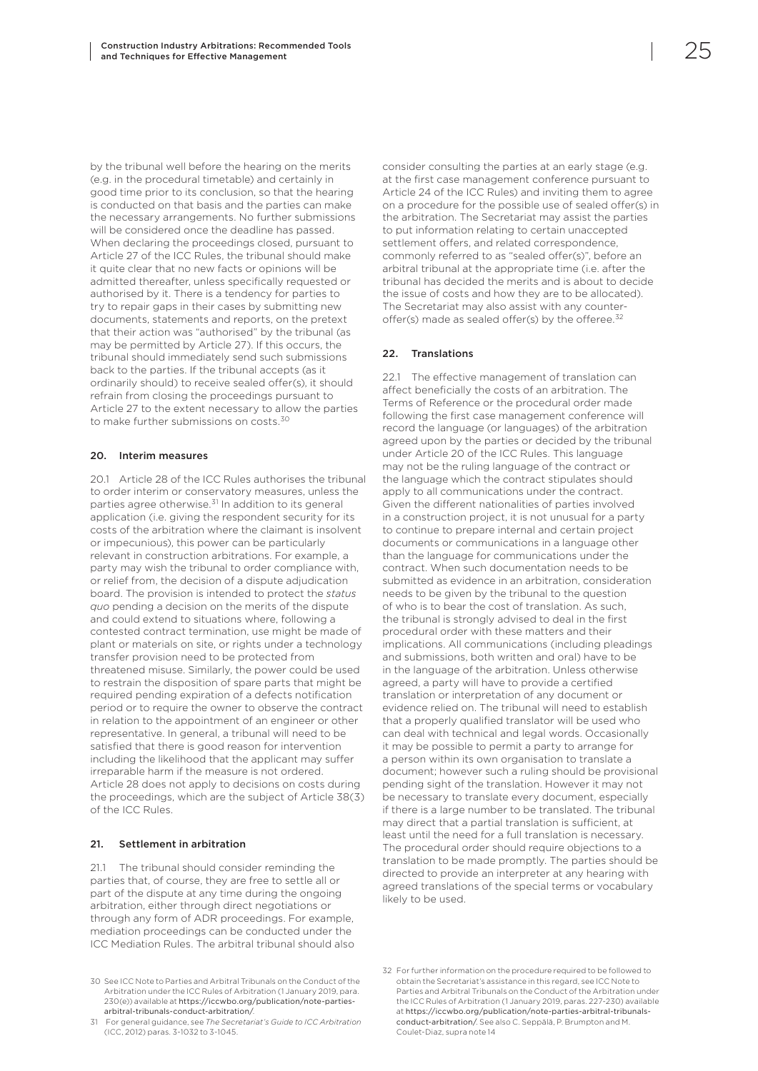<span id="page-26-0"></span>by the tribunal well before the hearing on the merits (e.g. in the procedural timetable) and certainly in good time prior to its conclusion, so that the hearing is conducted on that basis and the parties can make the necessary arrangements. No further submissions will be considered once the deadline has passed. When declaring the proceedings closed, pursuant to Article 27 of the ICC Rules, the tribunal should make it quite clear that no new facts or opinions will be admitted thereafter, unless specifically requested or authorised by it. There is a tendency for parties to try to repair gaps in their cases by submitting new documents, statements and reports, on the pretext that their action was "authorised" by the tribunal (as may be permitted by Article 27). If this occurs, the tribunal should immediately send such submissions back to the parties. If the tribunal accepts (as it ordinarily should) to receive sealed offer(s), it should refrain from closing the proceedings pursuant to Article 27 to the extent necessary to allow the parties to make further submissions on costs.30

#### 20. Interim measures

20.1 Article 28 of the ICC Rules authorises the tribunal to order interim or conservatory measures, unless the parties agree otherwise.<sup>31</sup> In addition to its general application (i.e. giving the respondent security for its costs of the arbitration where the claimant is insolvent or impecunious), this power can be particularly relevant in construction arbitrations. For example, a party may wish the tribunal to order compliance with, or relief from, the decision of a dispute adjudication board. The provision is intended to protect the *status quo* pending a decision on the merits of the dispute and could extend to situations where, following a contested contract termination, use might be made of plant or materials on site, or rights under a technology transfer provision need to be protected from threatened misuse. Similarly, the power could be used to restrain the disposition of spare parts that might be required pending expiration of a defects notification period or to require the owner to observe the contract in relation to the appointment of an engineer or other representative. In general, a tribunal will need to be satisfied that there is good reason for intervention including the likelihood that the applicant may suffer irreparable harm if the measure is not ordered. Article 28 does not apply to decisions on costs during the proceedings, which are the subject of Article 38(3) of the ICC Rules.

#### 21. Settlement in arbitration

21.1 The tribunal should consider reminding the parties that, of course, they are free to settle all or part of the dispute at any time during the ongoing arbitration, either through direct negotiations or through any form of ADR proceedings. For example, mediation proceedings can be conducted under the ICC Mediation Rules. The arbitral tribunal should also

consider consulting the parties at an early stage (e.g. at the first case management conference pursuant to Article 24 of the ICC Rules) and inviting them to agree on a procedure for the possible use of sealed offer(s) in the arbitration. The Secretariat may assist the parties to put information relating to certain unaccepted settlement offers, and related correspondence, commonly referred to as "sealed offer(s)", before an arbitral tribunal at the appropriate time (i.e. after the tribunal has decided the merits and is about to decide the issue of costs and how they are to be allocated). The Secretariat may also assist with any counteroffer(s) made as sealed offer(s) by the offeree.<sup>32</sup>

#### 22. Translations

22.1 The effective management of translation can affect beneficially the costs of an arbitration. The Terms of Reference or the procedural order made following the first case management conference will record the language (or languages) of the arbitration agreed upon by the parties or decided by the tribunal under Article 20 of the ICC Rules. This language may not be the ruling language of the contract or the language which the contract stipulates should apply to all communications under the contract. Given the different nationalities of parties involved in a construction project, it is not unusual for a party to continue to prepare internal and certain project documents or communications in a language other than the language for communications under the contract. When such documentation needs to be submitted as evidence in an arbitration, consideration needs to be given by the tribunal to the question of who is to bear the cost of translation. As such, the tribunal is strongly advised to deal in the first procedural order with these matters and their implications. All communications (including pleadings and submissions, both written and oral) have to be in the language of the arbitration. Unless otherwise agreed, a party will have to provide a certified translation or interpretation of any document or evidence relied on. The tribunal will need to establish that a properly qualified translator will be used who can deal with technical and legal words. Occasionally it may be possible to permit a party to arrange for a person within its own organisation to translate a document; however such a ruling should be provisional pending sight of the translation. However it may not be necessary to translate every document, especially if there is a large number to be translated. The tribunal may direct that a partial translation is sufficient, at least until the need for a full translation is necessary. The procedural order should require objections to a translation to be made promptly. The parties should be directed to provide an interpreter at any hearing with agreed translations of the special terms or vocabulary likely to be used.

<sup>30</sup> See ICC Note to Parties and Arbitral Tribunals on the Conduct of the Arbitration under the ICC Rules of Arbitration (1 January 2019, para. 230(e)) available at https://iccwbo.org/publication/note-partiesarbitral-tribunals-conduct-arbitration/.

<sup>31</sup> For general guidance, see *The Secretariat's Guide to ICC Arbitration* (ICC, 2012) paras. 3-1032 to 3-1045.

<sup>32</sup> For further information on the procedure required to be followed to obtain the Secretariat's assistance in this regard, see ICC Note to Parties and Arbitral Tribunals on the Conduct of the Arbitration under the ICC Rules of Arbitration (1 January 2019, paras. 227-230) available at https://iccwbo.org/publication/note-parties-arbitral-tribunalsconduct-arbitration/. See also C. Seppälä, P. Brumpton and M. Coulet-Diaz, supra note 14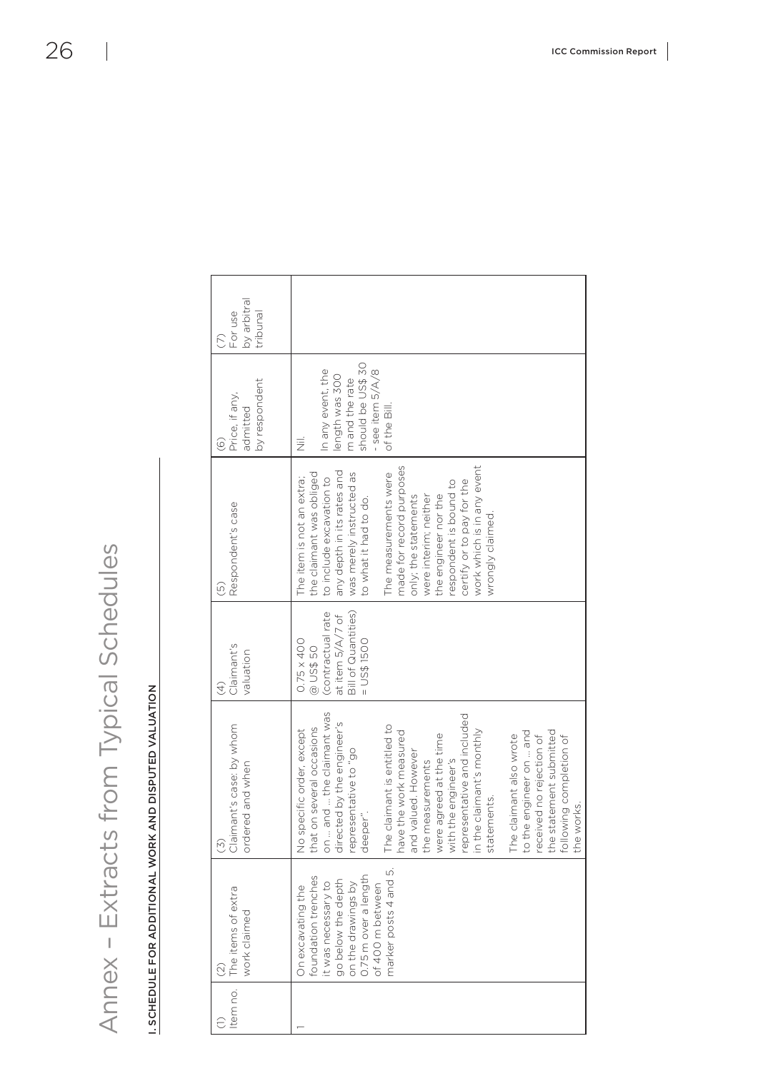| $\zeta$                  |
|--------------------------|
|                          |
|                          |
|                          |
| こく                       |
| $\overline{\mathbf{C}}$  |
| $\overline{\mathcal{L}}$ |
| $\vec{C}$                |
|                          |
|                          |
| $\frac{1}{2}$            |
|                          |
|                          |
|                          |
| ١                        |
| ŀ                        |
|                          |
| I                        |
| $\frac{1}{3}$            |
| $\geq$                   |
| į<br>ţ                   |
|                          |
| Ù                        |
| ハー)                      |
|                          |
| ・キンクマキン                  |
|                          |
|                          |
|                          |
|                          |
|                          |
|                          |
|                          |
|                          |
|                          |
| ا<br>ا                   |
|                          |
| Ī<br>$\,<$               |
|                          |

<span id="page-27-0"></span>

|          | Annex - Extracts                                                                                                                                                                    | from Typical Schedules                                                                                                                                                                                                                                                                                                                                                                                                                                                                                                                                              |                                                                                                               |                                                                                                                                                                                                                                                                                                                                                                                                            |                                                                                                                                   |                                    |  |
|----------|-------------------------------------------------------------------------------------------------------------------------------------------------------------------------------------|---------------------------------------------------------------------------------------------------------------------------------------------------------------------------------------------------------------------------------------------------------------------------------------------------------------------------------------------------------------------------------------------------------------------------------------------------------------------------------------------------------------------------------------------------------------------|---------------------------------------------------------------------------------------------------------------|------------------------------------------------------------------------------------------------------------------------------------------------------------------------------------------------------------------------------------------------------------------------------------------------------------------------------------------------------------------------------------------------------------|-----------------------------------------------------------------------------------------------------------------------------------|------------------------------------|--|
|          |                                                                                                                                                                                     | SCHEDULE FOR ADDITIONAL WORK AND DISPUTED VALUATION                                                                                                                                                                                                                                                                                                                                                                                                                                                                                                                 |                                                                                                               |                                                                                                                                                                                                                                                                                                                                                                                                            |                                                                                                                                   |                                    |  |
|          |                                                                                                                                                                                     |                                                                                                                                                                                                                                                                                                                                                                                                                                                                                                                                                                     |                                                                                                               |                                                                                                                                                                                                                                                                                                                                                                                                            |                                                                                                                                   |                                    |  |
| Item no. | The items of extra<br>work claimed<br>$\widehat{\odot}$                                                                                                                             | mant's case: by whom<br>ordered and when<br>Jie<br>O<br>(5)                                                                                                                                                                                                                                                                                                                                                                                                                                                                                                         | Claimant's<br>valuation<br>$\mathcal{L}$                                                                      | Respondent's case<br>$\widetilde{\Theta}$                                                                                                                                                                                                                                                                                                                                                                  | by respondent<br>Price, if any,<br>admitted<br>$\widehat{\odot}$                                                                  | by arbitral<br>For use<br>tribunal |  |
|          | LO<br>0.75 m over a length<br>foundation trenches<br>marker posts 4 and<br>go below the depth<br>it was necessary to<br>on the drawings by<br>of 400 m between<br>On excavating the | on  and  the claimant was<br>representative and included<br>directed by the engineer's<br>The claimant is entitled to<br>that on several occasions<br>pecific order, except<br>in the claimant's monthly<br>the statement submitted<br>have the work measured<br>to the engineer on  and<br>were agreed at the time<br>The claimant also wrote<br>received no rejection of<br>following completion of<br>representative to "go<br>valued. However<br>with the engineer's<br>measurements<br>statements.<br>the works<br>deeper".<br>No <sub>s</sub><br>and<br>the i | Bill of Quantities)<br>(contractual rate<br>at item 5/A/7 of<br>$USSI$ 1500<br>$0.75 \times 400$<br>@ US\$ 50 | work which is in any event<br>made for record purposes<br>any depth in its rates and<br>the claimant was obliged<br>was merely instructed as<br>The measurements were<br>The item is not an extra;<br>to include excavation to<br>certify or to pay for the<br>respondent is bound to<br>were interim; neither<br>the engineer nor the<br>only; the statements<br>to what it had to do.<br>wrongly claimed | should be US\$ 30<br>In any event, the<br>- see item 5/A/8<br>length was 300<br>m and the rate<br>of the Bill.<br>$\bar{\bar{z}}$ |                                    |  |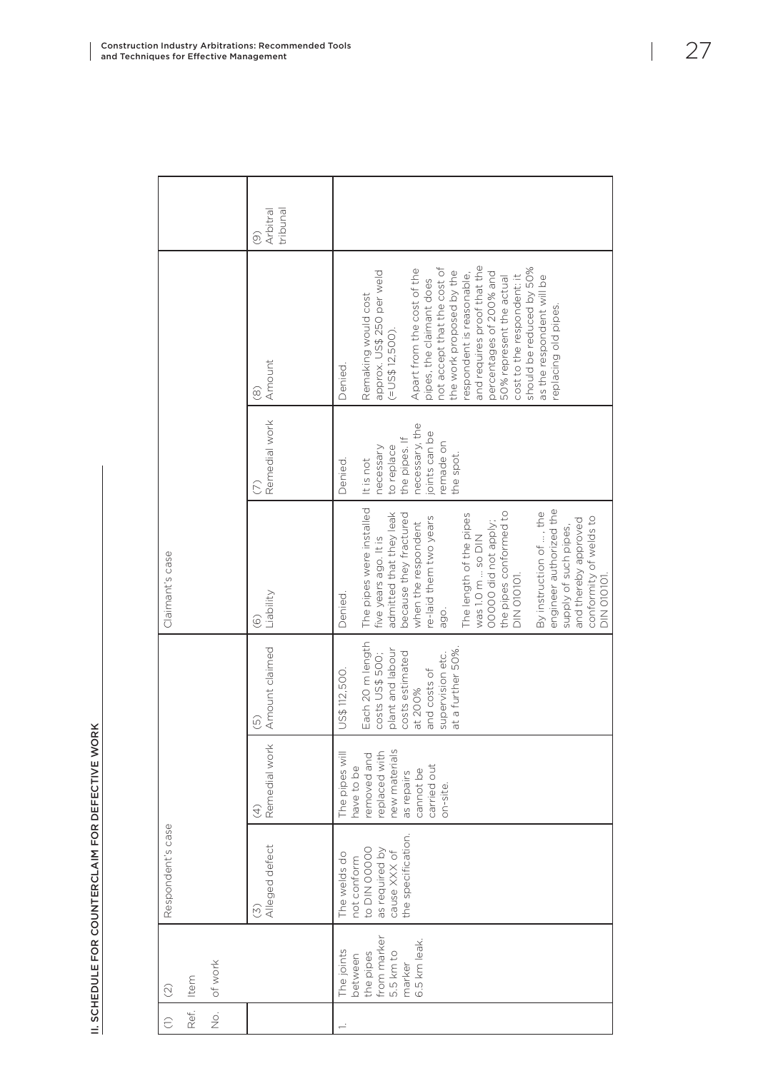|                              |                  |      |                          | Arbitral<br>tribunal<br>ම                     |                                                                                                                                                                                                                                                                                                                                                                                                                                             |                           |                                                                                                                                                               |
|------------------------------|------------------|------|--------------------------|-----------------------------------------------|---------------------------------------------------------------------------------------------------------------------------------------------------------------------------------------------------------------------------------------------------------------------------------------------------------------------------------------------------------------------------------------------------------------------------------------------|---------------------------|---------------------------------------------------------------------------------------------------------------------------------------------------------------|
|                              |                  |      |                          | Amount<br>$\circledcirc$                      | and requires proof that the<br>not accept that the cost of<br>should be reduced by 50%<br>Apart from the cost of the<br>approx. US\$ 250 per weld<br>the work proposed by the<br>percentages of 200% and<br>respondent is reasonable,<br>cost to the respondent: it<br>as the respondent will be<br>50% represent the actual<br>pipes, the claimant does<br>Remaking would cost<br>replacing old pipes.<br>$(=\cup$ S\$ 12,500).<br>Denied. |                           |                                                                                                                                                               |
|                              |                  |      |                          | Remedial work                                 | necessary, the<br>oints can be<br>the pipes. If<br>no aperua.<br>to replace<br>necessary<br>the spot.<br>It is not<br>Denied.                                                                                                                                                                                                                                                                                                               |                           |                                                                                                                                                               |
|                              | Claimant's case  |      |                          | Liability<br>$\widehat{\circ}$                | The pipes were installed<br>engineer authorized the<br>the pipes conformed to<br>By instruction of , the<br>admitted that they leak<br>because they fractured<br>The length of the pipes<br>re-laid them two years<br>conformity of welds to<br>and thereby approved<br>00000 did not apply;<br>when the respondent<br>supply of such pipes,<br>was 1.0 m  so DIN<br>five years ago. It is<br>DIN 010101.<br>DIN 010101<br>Denied.<br>ago.  |                           |                                                                                                                                                               |
| Respondent's case<br>$\odot$ |                  |      |                          |                                               |                                                                                                                                                                                                                                                                                                                                                                                                                                             | Amount claimed<br>$\odot$ | Each 20 m length<br>at a further 50%<br>plant and labour<br>costs estimated<br>costs US\$ 500;<br>supervision etc.<br>and costs of<br>US\$112,500.<br>at 200% |
|                              |                  |      |                          | Remedial work<br>$\bigoplus$                  | The pipes will<br>removed and<br>replaced with<br>new materials<br>carried out<br>have to be<br>cannot be<br>as repairs<br>$on-site$                                                                                                                                                                                                                                                                                                        |                           |                                                                                                                                                               |
|                              |                  |      |                          | Alleged defect<br>$\widetilde{(\mathcal{E})}$ | the specification.<br>to DIN 00000<br>as required by<br>cause XXX of<br>The welds do<br>not conform                                                                                                                                                                                                                                                                                                                                         |                           |                                                                                                                                                               |
|                              |                  | Item | of work                  |                                               | from marker<br>6.5 km leak.<br>The joints<br>5.5 km to<br>the pipes<br>between<br>marker                                                                                                                                                                                                                                                                                                                                                    |                           |                                                                                                                                                               |
|                              | $\widehat{\cup}$ | Ref. | $\stackrel{\circ}{\geq}$ |                                               |                                                                                                                                                                                                                                                                                                                                                                                                                                             |                           |                                                                                                                                                               |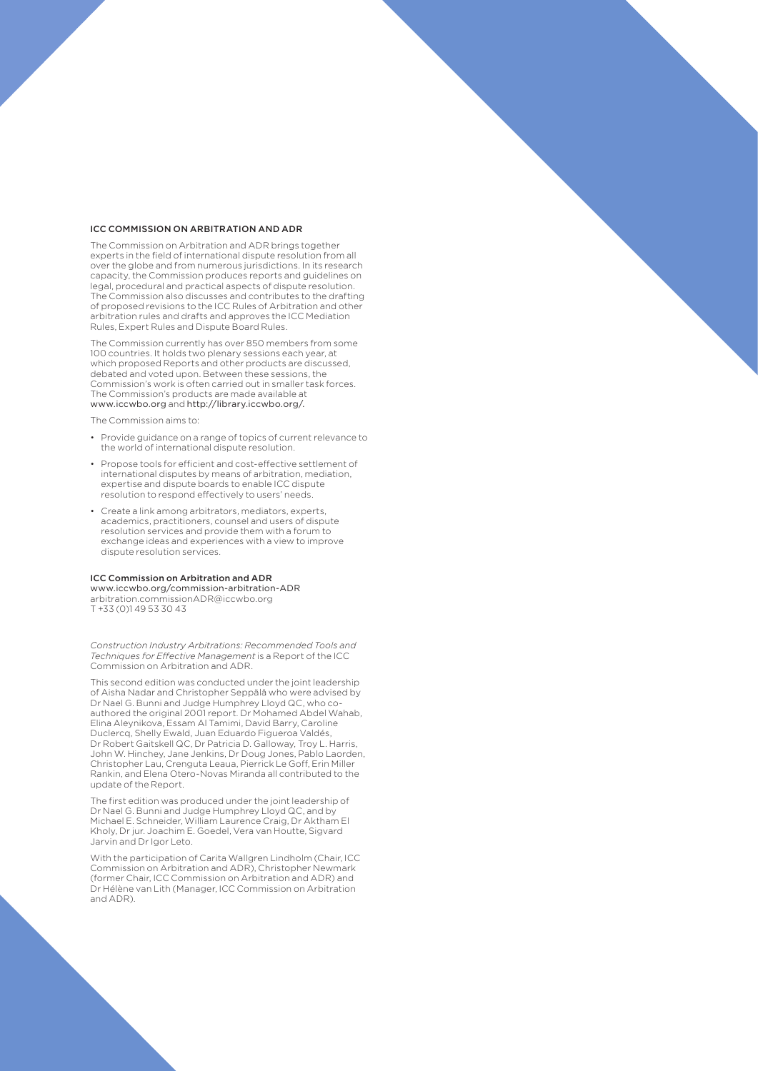#### ICC COMMISSION ON ARBITRATION AND ADR

The Commission on Arbitration and ADR brings together experts in the field of international dispute resolution from all over the globe and from numerous jurisdictions. In its research capacity, the Commission produces reports and guidelines on legal, procedural and practical aspects of dispute resolution. The Commission also discusses and contributes to the drafting of proposed revisions to the ICC Rules of Arbitration and other arbitration rules and drafts and approves the ICC Mediation Rules, Expert Rules and Dispute Board Rules.

The Commission currently has over 850 members from some 100 countries. It holds two plenary sessions each year, at which proposed Reports and other products are discussed, debated and voted upon. Between these sessions, the Commission's work is often carried out in smaller task forces. The Commission's products are made available at <www.iccwbo.org> and [http://library.iccwbo.org/.](http://library.iccwbo.org/)

The Commission aims to:

- Provide guidance on a range of topics of current relevance to the world of international dispute resolution.
- Propose tools for efficient and cost-effective settlement of international disputes by means of arbitration, mediation, expertise and dispute boards to enable ICC dispute resolution to respond effectively to users' needs.
- Create a link among arbitrators, mediators, experts, academics, practitioners, counsel and users of dispute resolution services and provide them with a forum to exchange ideas and experiences with a view to improve dispute resolution services.

#### ICC Commission on Arbitration and ADR

www.iccwbo.org/commission-arbitration-ADR arbitration.commissionADR@iccwbo.org T +33 (0)1 49 53 30 43

*Construction Industry Arbitrations: Recommended Tools and Techniques for Effective Management* is a Report of the ICC Commission on Arbitration and ADR.

This second edition was conducted under the joint leadership of Aisha Nadar and Christopher Seppälä who were advised by Dr Nael G. Bunni and Judge Humphrey Lloyd QC, who coauthored the original 2001 report. Dr Mohamed Abdel Wahab, Elina Aleynikova, Essam Al Tamimi, David Barry, Caroline Duclercq, Shelly Ewald, Juan Eduardo Figueroa Valdés, Dr Robert Gaitskell QC, Dr Patricia D. Galloway, Troy L. Harris, John W. Hinchey, Jane Jenkins, Dr Doug Jones, Pablo Laorden, Christopher Lau, Crenguta Leaua, Pierrick Le Goff, Erin Miller Rankin, and Elena Otero-Novas Miranda all contributed to the update of the Report.

The first edition was produced under the joint leadership of Dr Nael G. Bunni and Judge Humphrey Lloyd QC, and by Michael E. Schneider, William Laurence Craig, Dr Aktham El Kholy, Dr jur. Joachim E. Goedel, Vera van Houtte, Sigvard Jarvin and Dr Igor Leto.

With the participation of Carita Wallgren Lindholm (Chair, ICC) Commission on Arbitration and ADR), Christopher Newmark (former Chair, ICC Commission on Arbitration and ADR) and Dr Hélène van Lith (Manager, ICC Commission on Arbitration and ADR).